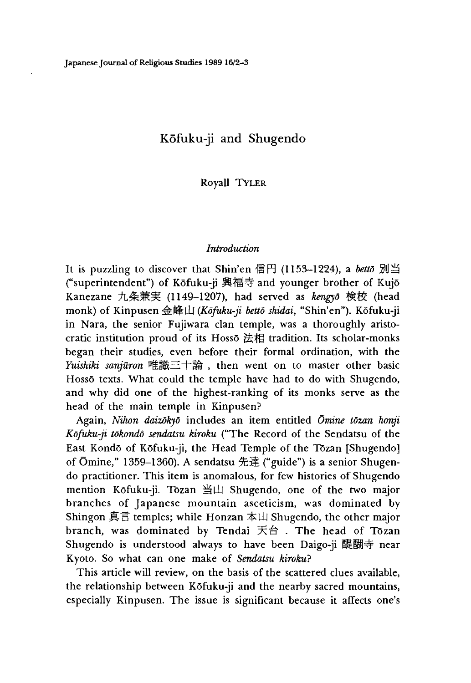# Kofuku-ji and Shugendo

Royall Tyler

#### *Introduction*

It is puzzling to discover that Shin'en 信円 (1153-1224), a *betto* 別当 ("superintendent")of Kofuku-ji 興福寺 and younger brother of Kujo Kanezane 九条兼実 (1149-1207), had served as *kengyō* 検校 (head monk) of Kinpusen 金峰山 (Kōfuku-ji bettō shidai, "Shin'en"). Kōfuku-ji in Nara, the senior Fujiwara clan temple, was a thoroughly aristocratic institution proud of its Hosso 法相 tradition. Its scholar-monks began their studies, even before their formal ordination, with the *Yuishiki sanjuron* 唯識三十論,then went on to master other basic Hossō texts. What could the temple have had to do with Shugendo, and why did one of the highest-ranking of its monks serve as the head of the main temple in Kinpusen?

Again, *Nihon daizokyd* includes an item entitled *Omine tdzan honji Kofuku-ji tokondo sendatsu kiroku* ("The Record of the Sendatsu of the East Kondō of Kōfuku-ji, the Head Temple of the Tōzan [Shugendo] of Ōmine," 1359-1360). A sendatsu 先達 ("guide") is a senior Shugendo practitioner. This item is anomalous, for few histories of Shugendo mention Kōfuku-ji. Tōzan 当山 Shugendo, one of the two major branches of Japanese mountain asceticism, was dominated by Shingon 真言 temples; while Honzan 本山 Shugendo, the other major branch, was dominated by Tendai 天台 . The head of Tōzan Shugendo is understood always to have been Daigo-ji醍醐寺 near Kyoto. So what can one make of *Sendatsu kiroku?* 

This article will review, on the basis of the scattered clues available, the relationship between Kofuku-ji and the nearby sacred mountains, especially Kinpusen. The issue is significant because it affects one's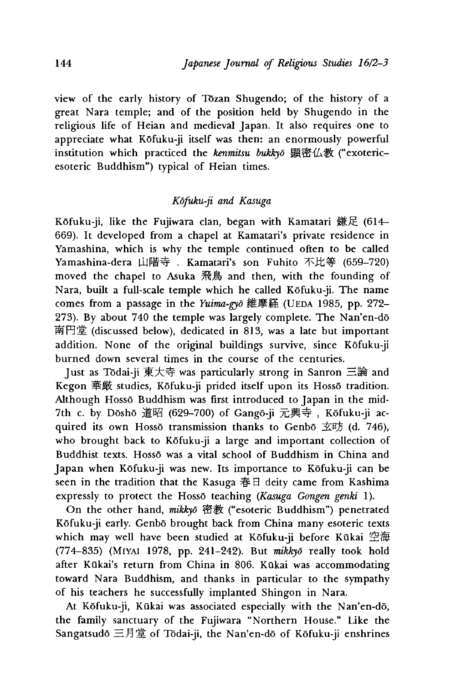view of the early history of Tozan Shugendo; of the history of a great Nara temple; and of the position held by Shugendo in the religious life of Heian and medieval Japan. It also requires one to appreciate what Kofuku-ji itself was then: an enormously powerful institution which practiced the *kenmitsu bukkvo* 顕密仏教 ("exotericesoteric Buddhism") typical of Heian times.

# *Kofuku-ji and Kasuga*

Kōfuku-ji, like the Fujiwara clan, began with Kamatari 鎌足 (614– 669). It developed from a chapel at Kamatari's private residence in Yamashina, which is why the temple continued often to be called Yamashina-dera 山階寺 . Kamatari's son Fuhito 不比等 (659-720) moved the chapel to Asuka 飛鳥 and then, with the founding of Nara, built a full-scale temple which he called Kofuku-ji. The name comes from a passage in the *Yuima-gvo* 維摩経 (UEDA 1985, pp. 272-273). By about 740 the temple was largely complete. The Nan'en-do 南円堂 (discussed below), dedicated in 813, was a late but important addition. None of the original buildings survive, since Kofuku-ji burned down several times in the course of the centuries.

Just as Todai-ji 東大寺 was particularly strong in Sanron 三論 and Kegon 華厳 studies, Kōfuku-ji prided itself upon its Hossō tradition. Although Hosso Buddhism was first introduced to Japan in the mid-7th c. by Dōshō 道昭 (629-700) of Gangō-ji 元興寺, Kōfuku-ji acquired its own Hossō transmission thanks to Genbō 玄昉 (d. 746), who brought back to Kōfuku-ji a large and important collection of Buddhist texts. Hossō was a vital school of Buddhism in China and Japan when Kōfuku-ji was new. Its importance to Kōfuku-ji can be seen in the tradition that the Kasuga 春日 deity came from Kashima expressly to protect the Hosso teaching *(Kasuga Gongen genki* 1).

On the other hand, mikkyō 密教 ("esoteric Buddhism") penetrated Kōfuku-ji early. Genbō brought back from China many esoteric texts which may well have been studied at Kōfuku-ji before Kūkai 空海 (774-835) (Miyai 1978, pp. 241-242). But *mikkyo* really took hold after Kūkai's return from China in 806. Kūkai was accommodating toward Nara Buddhism, and thanks in particular to the sympathy of his teachers he successfully implanted Shingon in Nara.

At Kōfuku-ji, Kūkai was associated especially with the Nan'en-dō, the family sanctuary of the Fujiwara "Northern House." Like the Sangatsudō 三月堂 of Tōdai-ji, the Nan'en-dō of Kōfuku-ji enshrines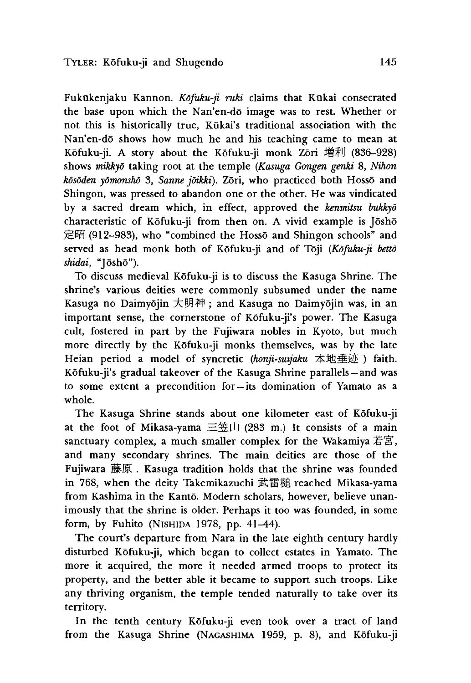Fukūkenjaku Kannon. *Kõfuku-ji ruki* claims that Kūkai consecrated the base upon which the Nan'en-do image was to rest. Whether or not this is historically true, Kukai's traditional association with the Nan'en-dō shows how much he and his teaching came to mean at Kōfuku-ji. A story about the Kōfuku-ji monk Zōri 増利 (836–928) shows *mikkyo* taking root at the temple *(Kasuga Gongen genki* 8, *Nihon kosoden yomonsho* 3, *Sanne joikki).* Zori, who practiced both Hosso and Shingon, was pressed to abandon one or the other. He was vindicated by a sacred dream which, in effect, approved the *kenmitsu bukkyo* characteristic of Kōfuku-ji from then on. A vivid example is Jōshō 定昭 (912-983), who "combined the Hossō and Shingon schools" and served as head monk both of Kofuku-ji and of Toji *(Kofuku-ji betto* shidai, "[ōshō").

To discuss medieval Kofuku-ji is to discuss the Kasuga Shrine. The shrine's various deities were commonly subsumed under the name Kasuga no Daimyōjin 大明神; and Kasuga no Daimyōjin was, in an important sense, the cornerstone of Kōfuku-ji's power. The Kasuga cult, fostered in part by the Fujiwara nobles in Kyoto, but much more directly by the Kōfuku-ji monks themselves, was by the late Heian period a model of syncretic *(honji-suijaku* 本地垂迹) faith. Kōfuku-ji's gradual takeover of the Kasuga Shrine parallels — and was to some extent a precondition for —its domination of Yamato as a whole.

The Kasuga Shrine stands about one kilometer east of Kofuku-ji at the foot of Mikasa-yama 三笠山 (283 m.) It consists of a main sanctuary complex, a much smaller complex for the Wakamiya 若宮, and many secondary shrines. The main deities are those of the Fujiwara 藤原. Kasuga tradition holds that the shrine was founded in 768, when the deity Takemikazuchi 武雷植 reached Mikasa-yama from Kashima in the Kantō. Modern scholars, however, believe unanimously that the shrine is older. Perhaps it too was founded, in some form, by Fuhito (NISHIDA 1978, pp.  $41-44$ ).

The court's departure from Nara in the late eighth century hardly disturbed Kofuku-ji, which began to collect estates in Yamato. The more it acquired, the more it needed armed troops to protect its property, and the better able it became to support such troops. Like any thriving organism, the temple tended naturally to take over its territory.

In the tenth century Kōfuku-ji even took over a tract of land from the Kasuga Shrine (Nagashima 1959, p. 8), and Kofuku-ji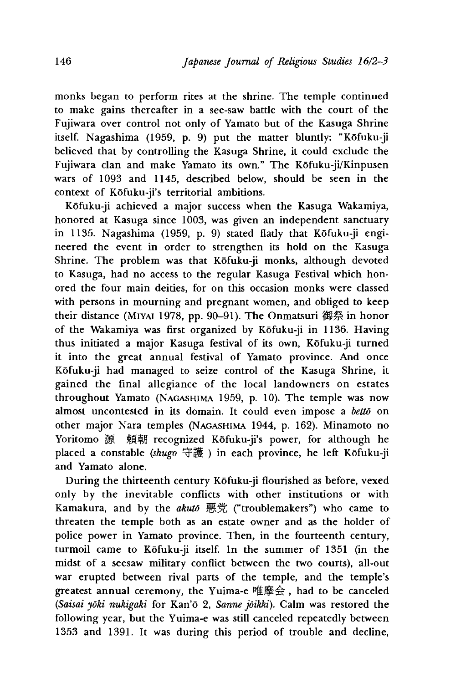monks began to perform rites at the shrine. The temple continued to make gains thereafter in a see-saw battle with the court of the Fujiwara over control not only of Yamato but of the Kasuga Shrine itself. Nagashima (1959, p. 9) put the matter bluntly: "Kōfuku-ji believed that by controlling the Kasuga Shrine, it could exclude the Fujiwara clan and make Yamato its own," The Kofuku-ji/Kinpusen wars of 1093 and 1145, described below, should be seen in the context of Kōfuku-ji's territorial ambitions.

Kofuku-ji achieved a major success when the Kasuga Wakamiya, honored at Kasuga since 1003, was given an independent sanctuary in 1135. Nagashima (1959, p. 9) stated flatly that Kofuku-ji engineered the event in order to strengthen its hold on the Kasuga Shrine. The problem was that Kōfuku-ji monks, although devoted to Kasuga, had no access to the regular Kasuga Festival which honored the four main deities, for on this occasion monks were classed with persons in mourning and pregnant women, and obliged to keep their distance (Miyai 1978, pp. 90-91). The Onmatsuri 御祭 in honor of the Wakamiya was first organized by Kofuku-ji in 1136. Having thus initiated a major Kasuga festival of its own, Kofuku-ji turned it into the great annual festival of Yamato province. And once Kofuku-ji had managed to seize control of the Kasuga Shrine, it gained the final allegiance of the local landowners on estates throughout Yamato (Nagashima 1959, p. 10). The temple was now almost uncontested in its domain. It could even impose a *betto* on other major Nara temples (Nagashima 1944, p. 162). Minamoto no Yoritomo 源 頼朝 recognized Kōfuku-ji's power, for although he placed a constable (shugo 守護) in each province, he left Kōfuku-ji and Yamato alone.

During the thirteenth century Kofuku-ji flourished as before, vexed only by the inevitable conflicts with other institutions or with Kamakura, and by the *akuto* 悪 充 ("troublemakers"〉who came to threaten the temple both as an estate owner and as the holder of police power in Yamato province. Then, in the fourteenth century, turmoil came to Kofuku-ji itself. In the summer of 1351 (in the midst of a seesaw military conflict between the two courts), all-out war erupted between rival parts of the temple, and the temple's greatest annual ceremony, the Yuima-e 唯摩会,had to be canceled *(Saisai yoki nukigaki* for Kan'6 2 *Sanne joikki).* Calm was restored the following vear, but the Yuima-e was still canceled repeatedly between 1353 and 1391. It was during this period of trouble and decline,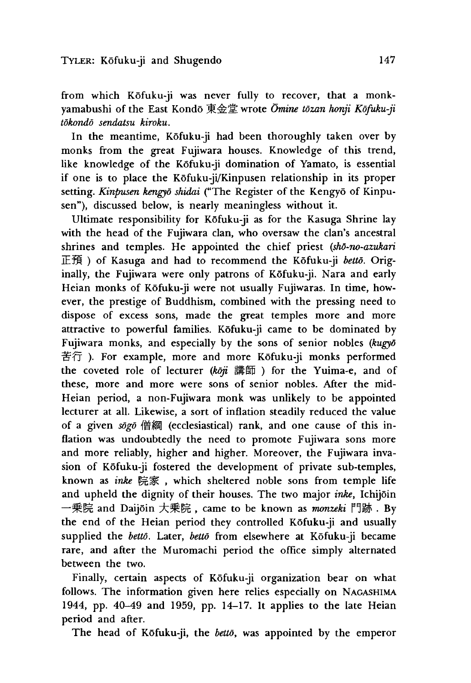from which Kōfuku-ji was never fully to recover, that a monkyamabushi of the East Kondo 東金堂 wrote *Omine tozan honji Kofuku-ji tokondo sendatsu kiroku.*

In the meantime, Kofuku-ji had been thoroughly taken over by monks from the great Fujiwara houses. Knowledge of this trend, like knowledge of the Kōfuku-ji domination of Yamato, is essential if one is to place the Kofuku-ji/Kinpusen relationship in its proper setting. *Kinpusen kengyd shidai* ("The Register of the Kengyo of Kinpusen"), discussed below, is nearly meaningless without it.

Ultimate responsibility for Kofuku-ji as for the Kasuga Shrine lay with the head of the Fujiwara clan, who oversaw the clan's ancestral shrines and temples. He appointed the chief priest *(shd~no~azukari* 正 預 ) of Kasuga and had to recommend the Kofuku-ji *betto.* Originally, the Fujiwara were only patrons of Kōfuku-ji. Nara and early Heian monks of Kōfuku-ji were not usually Fujiwaras. In time, however, the prestige of Buddhism, combined with the pressing need to dispose of excess sons, made the great temples more and more attractive to powerful families. Kōfuku-ji came to be dominated by Fujiwara monks, and especially by the sons of senior nobles *(kugyd* 苦行). For example, more and more Kōfuku-ji monks performed the coveted role of lecturer (koji 講師) for the Yuima-e, and of these, more and more were sons of senior nobles. After the mid-Heian period, a non-Fujiwara monk was unlikely to be appointed lecturer at all. Likewise, a sort of inflation steadily reduced the value of a given *sogo* 僧 綱 (ecclesiastical) rank, and one cause of this inflation was undoubtedly the need to promote Fujiwara sons more and more reliably, higher and higher. Moreover, the Fujiwara invasion of Kofuku-ji fostered the development of private sub-temples, known as *inke* 院家, which sheltered noble sons from temple life and upheld the dignity of their houses. The two major *inke,* Ichijoin 一乗院 and Daijōin 大乗院, came to be known as *monzeki* 門跡. By the end of the Heian period they controlled Kofuku-ji and usually supplied the *betto.* Later, *betto* from elsewhere at Kofuku-ji became rare, and after the Muromachi period the office simply alternated between the two.

Finally, certain aspects of Kōfuku-ji organization bear on what follows. The information given here relies especially on Nagashima 1944, pp. 40-49 and 1959, pp. 14-17. It applies to the late Heian period and after.

The head of Kofuku-ji, the *betto,* was appointed by the emperor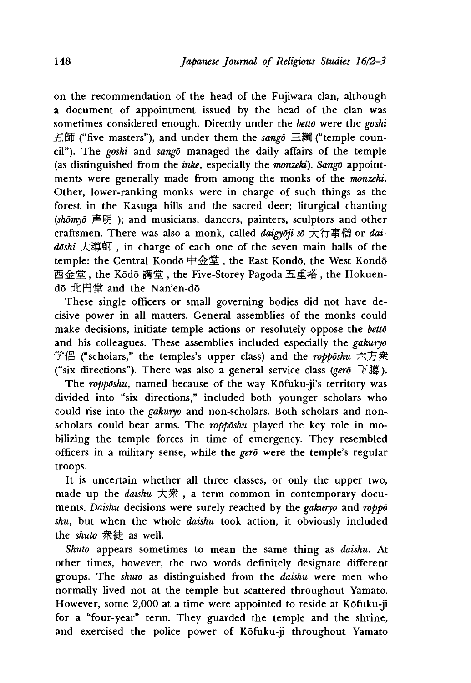on the recommendation of the head of the Fujiwara clan, although a document of appointment issued by the head of the clan was sometimes considered enough. Directly under the *betto* were the *goshi* 五 師 ("five masters"), and under them the *sango* 三綱("temple coundl"). The *goshi* and *sango* managed the daily affairs of the temple (as distinguished from the *inke*, especially the *monzeki*). Sango appointments were generally made from among the monks of the *monzeki.* Other, lower-ranking monks were in charge of such things as the forest in the Kasuga hills and the sacred deer; liturgical chanting *(shomyd* 声 明 ) ; and musicians, dancers, painters, sculptors and other craftsmen. There was also a monk, called *daigydji-sd* 大仃享{曾 or *daidoshi* 大導師,in charge of each one of the seven main halls of the temple: the Central Kondō 中金堂, the East Kondō, the West Kondō 西金堂, the Kōdō 講堂, the Five-Storey Pagoda 五重塔, the Hokuendo 北円堂 and the Nan'en-d5.

These single officers or small governing bodies did not have decisive power in all matters. General assemblies of the monks could make decisions, initiate temple actions or resolutely oppose the *betto* and his colleagues. These assemblies included especially the *gakuryo* 学 侶 ("scholars," the temples's upper class) and the *roppdshu* 六方衆 ("six directions"). There was also a general service class *(gerd* 下臆).

The *ropposhu*, named because of the way Kofuku-ji's territory was divided into "six directions," included both younger scholars who could rise into the *gakuryo* and non-scholars. Both scholars and nonscholars could bear arms. The *roppdshu* played the key role in mobilizing the temple forces in time of emergency. They resembled officers in a military sense, while the *gerd* were the temple's regular troops.

It is uncertain whether all three classes, or only the upper two, made up the *daishu* 大衆, a term common in contemporary documents. *Daishu* decisions were surely reached by the *gakuryo* and *roppo* shu, but when the whole *daishu* took action, it obviously included the *shuto* 衆徒 as well.

*Shuto* appears sometimes to mean the same thing as *daishu.* At other times, however, the two words definitely designate different groups. The *shuto* as distinguished from the *daishu* were men who normally lived not at the temple but scattered throughout Yamato. However, some 2,000 at a time were appointed to reside at Kōfuku-ji for a "four-year" term. They guarded the temple and the shrine, and exercised the police power of Kōfuku-ji throughout Yamato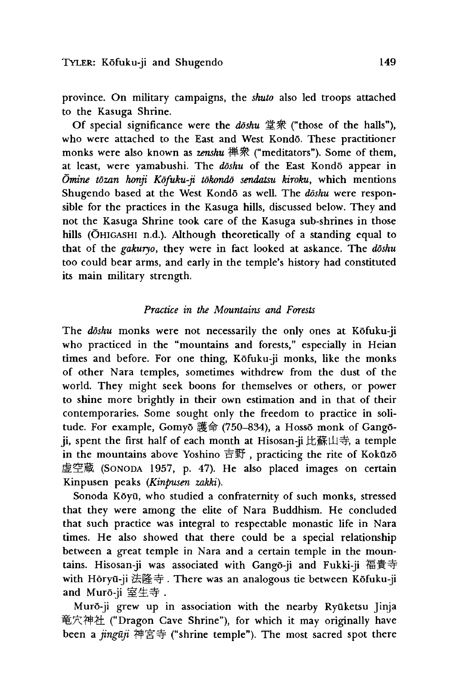province. On military campaigns, the *shuto* also led troops attached to the Kasuga Shrine.

Of special significance were the *doshu* 堂衆 ("those of the halls"), who were attached to the East and West Kondō. These practitioner monks were also known as *zenshu* 禅衆 ("meditators"). Some of them, at least, were yamabushi. The *doshu* of the East Kondo appear in *Omine tozan honji Kofuku-ji tokondo sendatsu kiroku* which mentions Shugendo based at the West Kondō as well. The *doshu* were responsible for the practices in the Kasuga hills, discussed below. They and not the Kasuga Shrine took care of the Kasuga sub-shrines in those hills (OHIGASHI n.d.). Although theoretically of a standing equal to that of the *gakuryo,* they were in fact looked at askance. The *doshu* too could bear arms, and early in the temple's history had constituted its main military strength.

## *Practice in the Mountains and Forests*

The *doshu* monks were not necessarily the only ones at Kofuku-ji who practiced in the "mountains and forests," especially in Heian times and before. For one thing, Kofuku-ji monks, like the monks of other Nara temples, sometimes withdrew from the dust of the world. They might seek boons for themselves or others, or power to shine more brightly in their own estimation and in that of their contemporaries. Some sought only the freedom to practice in solitude. For example, Gomyō 護命 (750-834), a Hossō monk of Gangōji, spent the first half of each month at Hisosan-ji 比蘇山寺, a temple in the mountains above Yoshino 吉野, practicing the rite of Kokūzō 虚空蔵 (SONODA 1957, p. 47). He also placed images on certain Kinpusen peaks *(Kinpusen zakki).*

Sonoda Kōyū, who studied a confraternity of such monks, stressed that they were among the elite of Nara Buddhism. He concluded that such practice was integral to respectable monastic life in Nara times. He also showed that there could be a special relationship between a great temple in Nara and a certain temple in the mountains. Hisosan-ji was associated with Gangō-ji and Fukki-ji 福貴寺 with Hōryū-ji 法隆寺. There was an analogous tie between Kōfuku-ji and Muro-ji 室生寺*,*

Murō-ji grew up in association with the nearby Ryūketsu Jinja 竜穴神社 ("Dragon Cave Shrine"), for which it may originally have been a *jinguji* 神宮寺("shrine temple"). The most sacred spot there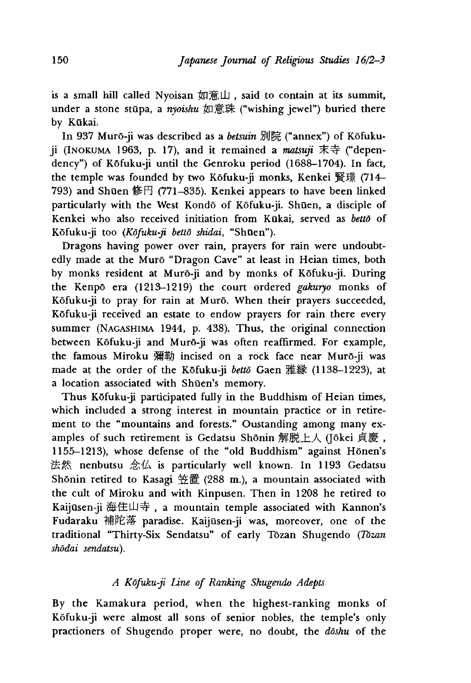is a small hill called Nyoisan 如意山, said to contain at its summit, under a stone stūpa, a *nyoishu* 如意珠 ("wishing jewel") buried there by Kūkai.

In 937 Murō-ji was described as a *betsuin* 別院 ("annex") of Kōfuku $ji$  (INOKUMA 1963, p. 17), and it remained a *matsuji* 末寺 ("dependency") of Kofuku-ji until the Genroku period (1688-1704). In fact, the temple was founded by two Kōfuku-ji monks, Kenkei 賢璟 (714– 793) and Shūen 修円 (771–835). Kenkei appears to have been linked particularly with the West Kondō of Kōfuku-ji. Shūen, a disciple of Kenkei who also received initiation from Kukai, served as *betto* of Kōfuku-ji too (Kōfuku-ji bettō shidai, "Shūen").

Dragons having power over rain, prayers for rain were undoubtedly made at the Muro "Dragon Cave" at least in Heian times, both by monks resident at Murō-ji and by monks of Kōfuku-ji. During the Kenpo era (1213-1219) the court ordered *gakuryo* monks of Kofuku-ji to pray for rain at Muro. When their prayers succeeded, Kofuku-ji received an estate to endow prayers for rain there every summer (NAGASHIMA 1944, p. 438). Thus, the original connection between Kofuku-ji and Muro-ji was often reaffirmed. For example, the famous Miroku 彌勒 incised on a rock face near Muro-ji was made at the order of the Kōfuku-ji *bettō* Gaen 雅縁 (1138-1223), at a location associated with Shūen's memory.

Thus Kofuku-ji participated fully in the Buddhism of Heian times, which included a strong interest in mountain practice or in retirement to the "mountains and forests." Oustanding among many examples of such retirement is Gedatsu Shōnin 解脱上人 (Jōkei 貞慶, 1155-1213), whose defense of the "old Buddhism" against Honen's 法然 nenbutsu 念仏 is particularly well known. In 1193 Gedatsu Shōnin retired to Kasagi 笠置 (288 m.), a mountain associated with the cult of Miroku and with Kinpusen. Then in 1208 he retired to Kaijusen-ji 海住山寺,a mountain temple associated with Kannon's Fudaraku 補陀落 paradise. Kaijusen-ji was, moreover, one of the traditional "Thirty-Six Sendatsu" of early Tozan Shueendo *(Tozan shodai sendatsu),*

# *A Kofuku-ji Line of Ranking Shugendo Adepts*

By the Kamakura period, when the highest-ranking monks of Kofuku-ji were almost all sons of senior nobles, the temple's only practioners of Shugendo proper were, no doubt, the *doshu* of the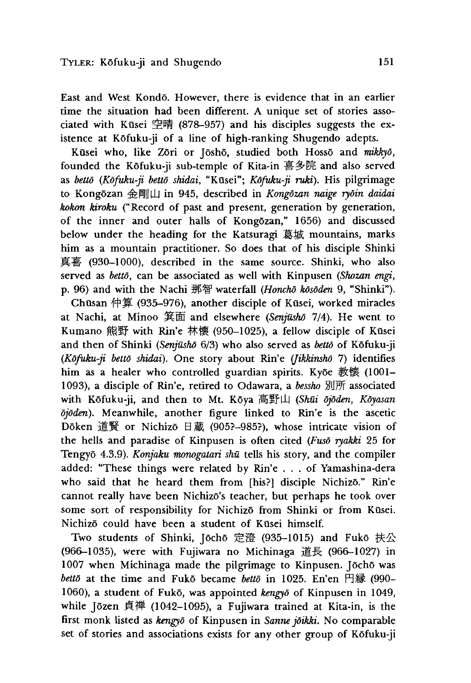East and West Kondō. However, there is evidence that in an earlier time the situation had been different A unique set of stories associated with Kūsei 空晴 (878–957) and his disciples suggests the existence at Kofuku-ji of a line of high-ranking Shugendo adepts.

Kūsei who, like Zōri or Jōshō, studied both Hossō and mikkyō, founded the Kofuku-ji sub-temple of Kita-in 吾多院 and also served as *bettō* (Kōfuku-ji bettō shidai, "Kūsei"; Kōfuku-ji ruki). His pilgrimage to Kongozan 金岡!!山 in 945, described in *Kongdzan naige rydin daidai kokon kiroku* ("Record of past and present, generation by generation, of the inner and outer halls of Kongozan," 1656) and discussed below under the heading for the Katsuragi 葛城 mountains, marks him as a mountain practitioner. So does that of his disciple Shinki 真喜 (930-1000), described in the same source. Shinki, who also served as *betto,* can be associated as well with Kinpusen *(Shozan engi,* p. 96) and with the Nachi 那智 waterfall *(Honchō kōsōden* 9, "Shinki").

Chūsan 仲算 (935-976), another disciple of Kūsei, worked miracles at Nachi, at Minoo 箕面 and elsewhere *(Senjusho* 7/4). He went to Kumano 熊野 with Rin'e 林懐 (950-1025), a fellow disciple of Kūsei and then of Shinki *(Senjusho* 6/3) who also served as *betto* of Kofuku-ji *(Kofuku-ji betto shidai).* One story about Rin'e *(Jihkinsho* 7) identifies him as a healer who controlled guardian spirits. Kyoe 教懐 (1001– 1093), a disciple of Rin'e, retired to Odawara, a *bessho* 別所 associated with Kōfuku-ji, and then to Mt. Kōya 高野山 (Shūi ōjōden, Kōyasan *djoden).* Meanwhile, another figure linked to Rin'e is the ascetic Dōken 道賢 or Nichizō 日蔵 (905?-985?), whose intricate vision of the hells and paradise of Kinpusen is often cited *(Fuso ryakki* 25 for Tengyō 4.3.9). *Konjaku monogatari shū* tells his story, and the compiler added: "These things were related by Rin'e . . . of Yamashina-dera who said that he heard them from [his?] disciple Nichizo." Rin'e cannot really have been Nichizo's teacher, but perhaps he took over some sort of responsibility for Nichizo from Shinki or from Kūsei. Nichizo could have been a student of Kusei himself.

Two students of Shinki, Jōchō 定澄 (935-1015) and Fukō 扶公 (966-1035), were with Fujiwara no Michinaga 道長 (966-1027) in 1007 when Michinaga made the pilgrimage to Kinpusen. Jōchō was *bettō* at the time and Fukō became *bettō* in 1025. En'en 円縁 (990-1060), a student of Fuko, was appointed *kengyd* of Kinpusen in 1049, while Jōzen 貞禅 (1042-1095), a Fujiwara trained at Kita-in, is the first monk listed as *kmgyo* of Kinpusen in *Sanne joikki.* No comparable set of stories and associations exists for any other group of Kofuku-ji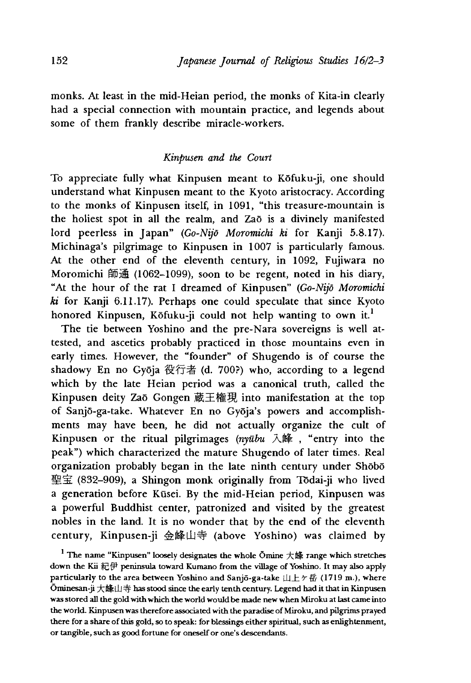monks. At least in the mid-Heian period, the monks of Kita-in clearly had a special connection with mountain practice, and legends about some of them frankly describe miracle-workers.

### *Kinpusen and the Court*

To appreciate fully what Kinpusen meant to Kofuku-ji, one should understand what Kinpusen meant to the Kyoto aristocracy. According to the monks of Kinpusen itself, in 1091, "this treasure-mountain is the holiest spot in all the realm, and Zaō is a divinely manifested lord peerless in Japan" *(Go-Nijd Moromichi ki* for Kanji 5.8.17). Michinaga's pilgrimage to Kinpusen in 1007 is particularly famous. At the other end of the eleventh century, in 1092, Fujiwara no Moromichi 師通 (1062–1099), soon to be regent, noted in his diary, "At the hour of the rat I dreamed of Kinpusen" *(Go-Nijd Moromichi ki* for Kanji 6.11.17). Perhaps one could speculate that since Kyoto honored Kinpusen, Kōfuku-ji could not help wanting to own it.<sup>1</sup>

The tie between Yoshino and the pre-Nara sovereigns is well attested, and ascetics probably practiced in those mountains even in early times. However, the "founder" of Shugendo is of course the shadowy En no Gyōja 役行者 (d. 700?) who, according to a legend which by the late Heian period was a canonical truth, called the Kinpusen deity Zao Gongen 蔵王権現 into manifestation at the top of Sanjō-ga-take. Whatever En no Gyōja's powers and accomplishments may have been, he did not actually organize the cult of Kinpusen or the ritual pilgrimages (nyūbu 入峰, "entry into the peak") which characterized the mature Shugendo of later times. Real organization probably began in the late ninth century under Shobo 聖宝 (832-909), a Shingon monk originally from Tōdai-ji who lived a generation before Kūsei. By the mid-Heian period, Kinpusen was a powerful Buddhist center, patronized and visited by the greatest nobles in the land. It is no wonder that by the end of the eleventh century, Kinpusen-ji 金峰山寺(above Yoshino) was claimed by

 $1$  The name "Kinpusen" loosely designates the whole Ōmine 大峰 range which stretches down the Kii 紀伊 peninsula toward Kumano from the village of Yoshino. It may also apply particularly to the area between Yoshino and Sanjō-ga-take  $\| \pm \gamma \|$  (1719 m.), where Ōminesan-ji 大峰山寺 has stood since the early tenth century. Legend had it that in Kinpusen was stored all the gold with which the world would be made new when Miroku at last came into the world. Kinpusen was therefore associated with the paradise of Miroku, and pilgrims prayed there for a share of this gold, so to speak: for blessings either spiritual, such as enlightenment, or tangible, such as good fortune for oneself or one's descendants.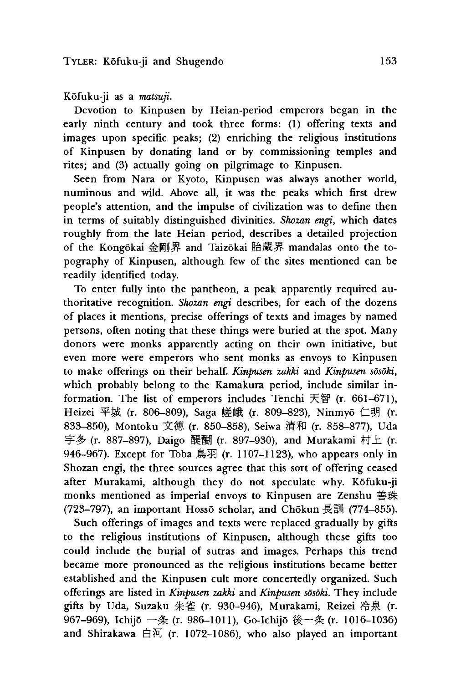### Kofuku-ji as a *matsuji.*

Devotion to Kinpusen by Heian-period emperors began in the early ninth century and took three forms: (1) offering texts and images upon specific peaks; (2) enriching the religious institutions of Kinpusen by donating land or by commissioning temples and rites; and (3) actually going on pilgrimage to Kinpusen.

Seen from Nara or Kyoto, Kinpusen was always another world, numinous and wild. Above all, it was the peaks which first drew people's attention, and the impulse of civilization was to define then in terms of suitably distinguished divinities. *Shozan engi,* which dates roughly from the late Heian period, describes a detailed projection of the Kongokai 金剛界 and Taizokai 胎蔵界 mandalas onto the topography of Kinpusen, although few of the sites mentioned can be readily identified today.

To enter fully into the pantheon, a peak apparently required authoritative recognition. *Shozan engi* describes, for each of the dozens of places it mentions, precise offerings of texts and images by named persons, often noting that these things were buried at the spot. Many donors were monks apparently acting on their own initiative, but even more were emperors who sent monks as envoys to Kinpusen to make offerings on their behalf. *Kinpusen zakki* and *Kinpusen sosoki,* which probably belong to the Kamakura period, include similar information. The list of emperors includes Tenchi 天智  $(r. 661-671)$ , Heizei 平城 (r. 806-809), Saga 嵯峨 (r. 809-823), Ninmyō 仁明 (r. 833-850), Montoku 文徳 (r. 850-858), Seiwa 清和 (r. 858-877), Uda 字多 (r. 887-897), Daigo 醍醐 (r. 897-930), and Murakami 村上 (r. 946-967). Except for Toba 鳥羽 (r. 1107-1123), who appears only in Shozan engi, the three sources agree that this sort of offering ceased after Murakami, although they do not speculate why. Kofuku-ji monks mentioned as imperial envoys to Kinpusen are Zenshu 善珠  $(723-797)$ , an important Hossō scholar, and Chōkun 長訓 (774-855).

Such offerings of images and texts were replaced gradually by gifts to the religious institutions of Kinpusen, although these gifts too could include the burial of sutras and images. Perhaps this trend became more pronounced as the religious institutions became better established and the Kinpusen cult more concertedly organized. Such offerings are listed in *Kinpusen zakki* and *Kinpusen sosoki.* They include gifts by Uda, Suzaku 朱雀 (r. 930-946), Murakami, Reizei 冷泉 (r. 967-969), Ichijō 一条 (r. 986-1011), Go-Ichijō 後一条 (r. 1016-1036) and Shirakawa 白河 (r. 1072–1086), who also played an important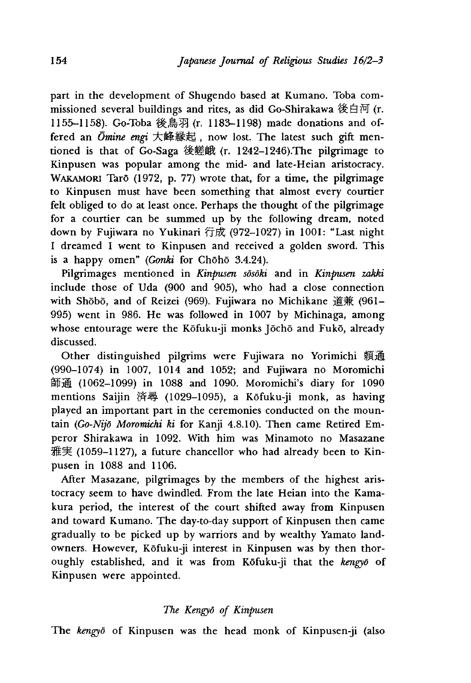part in the development of Shugendo based at Kumano. Toba commissioned several buildings and rites, as did Go-Shirakawa 後白河 (r. 1155-1158). Go-Toba 後鳥羽 (r. 1183-1198) made donations and offered an *Ōmine engi* 大峰縁起, now lost. The latest such gift mentioned is that of Go-Saga 後嵯峨  $(r. 1242-1246)$ . The pilgrimage to Kinpusen was popular among the mid- and late-Heian aristocracy. WAKAMORI Tarō (1972, p. 77) wrote that, for a time, the pilgrimage to Kinpusen must have been something that almost every courtier felt obliged to do at least once. Perhaps the thought of the pilgrimage for a courtier can be summed up by the following dream, noted down by Fujiwara no Yukinari 行康(972-1027) in 1001: "Last night I dreamed I went to Kinpusen and received a golden sword. This is a happy omen" *(Gonki* for Choho 3.4.24).

Pilgrimages mentioned in *Kinpusen sosoki* and in *Kinpusen zakki* include those of Uda (900 and 905), who had a close connection with Shōbō, and of Reizei (969). Fujiwara no Michikane 道兼 (961-995) went in 986. He was followed in 1007 by Michinaga, among whose entourage were the Kōfuku-ji monks Jōchō and Fukō, already discussed.

Other distinguished pilgrims were Fujiwara no Yorimichi 頼通 (990-1074) in 1007, 1014 and 1052; and Fujiwara no Moromichi 師 通 (1062-1099) in 1088 and 1090. Moromichi's diary for 1090 mentions Saijin 済尋 (1029-1095), a Kōfuku-ji monk, as having played an important part in the ceremonies conducted on the mountain *(Go-Nijd Moromichi ki* for Kanji 4.8.10). Then came Retired Emperor Shirakawa in 1092. With him was Minamoto no Masazane 雅実 (1059–1127), a future chancellor who had already been to Kinpusen in 1088 and 1106.

After Masazane, pilgrimages by the members of the highest aristocracy seem to have dwindled. From the late Heian into the Kamakura period, the interest of the court shifted away from Kinpusen and toward Kumano. The day-to-day support of Kinpusen then came gradually to be picked up by warriors and by wealthy Yamato landowners. However, Kofuku-ji interest in Kinpusen was by then thoroughly established, and it was from Kofuku-ji that the *kengyd* of Kinpusen were appointed.

#### *The Kengyd of Kinpusen*

The *kengyd* of Kinpusen was the head monk of Kinpusen-ji (also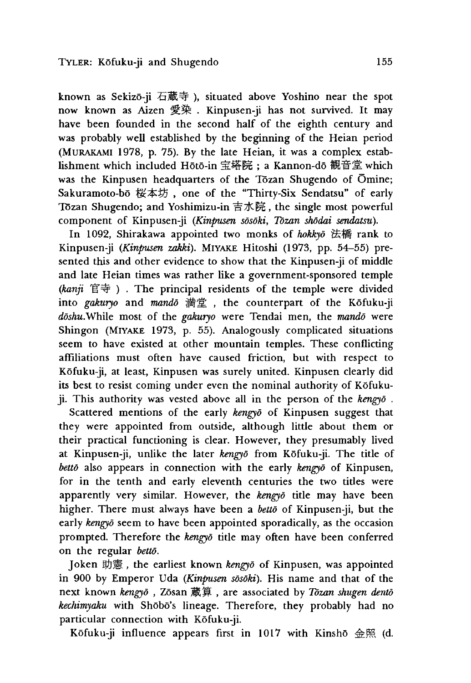known as Sekizō-ji 石蔵寺), situated above Yoshino near the spot now known as Aizen 愛染 . Kinpusen-ji has not survived. It may have been founded in the second half of the eighth century and was probably well established by the beginning of the Heian period (Murakami 1978, p. 75). By the late Heian, it was a complex establishment which included Hoto-in 宝塔院;a Kannon-do 観音堂 which was the Kinpusen headquarters of the Tōzan Shugendo of Ōmine; Sakuramoto-bo 桜本坊, one of the "Thirty-Six Sendatsu" of early Tozan Shugendo; and Yoshimizu-in 吉水院,the single most powerful component of Kinpusen-ji *(Kinpusen sosoki, Tozan shodai sendatsu).*

In 1092, Shirakawa appointed two monks of *hokkyd* 法橋 rank to Kinpusen-ji *(Kinpusen zakki)*. MIYAKE Hitoshi (1973, pp. 54–55) presented this and other evidence to show that the Kinpusen-ji of middle and late Heian times was rather like a government-sponsored temple *(kanjt* 目寺). The principal residents of the temple were divided into *gakuryo* and *mando* 満堂, the counterpart of the Kōfuku-ji *ddshu.While* most of the *gakuryo* were Tendai men, the *mando* were Shingon (Miyake 1973, p. 55). Analogously complicated situations seem to have existed at other mountain temples. These conflicting affiliations must often have caused friction, but with respect to Kofuku-ji, at least, Kinpusen was surely united. Kinpusen clearly did its best to resist coming under even the nominal authority of Kofukuji.T his authority was vested above all in the person of the *kengyd* .

Scattered mentions of the early *kengyd* of Kinpusen suggest that they were appointed from outside, although little about them or their practical functioning is clear. However, they presumably lived at Kinpusen-ji, unlike the later *kengyd* from Kofuku-ji. The title of *betto* also appears in connection with the early *kengyd* of Kinpusen, for in the tenth and early eleventh centuries the two titles were apparently very similar. However, the *kengyd* title may have been higher. There must always have been a *betto* of Kinpusen-ji, but the early *kengyd* seem to have been appointed sporadically, as the occasion prompted. Therefore the *kengyd* title may often have been conferred on the regular *betto.*

Joken 助憲, the earliest known *kengyo* of Kinpusen, was appointed in 900 by Emperor Uda *(Kinpusen sosoki).* His name and that of the next known *kengyō*, Zōsan 蔵算, are associated by *Tōzan shugen dentō kechimyaku* with Shōbō's lineage. Therefore, they probably had no particular connection with Kōfuku-ji.

Kōfuku-ji influence appears first in 1017 with Kinshō 金照 (d.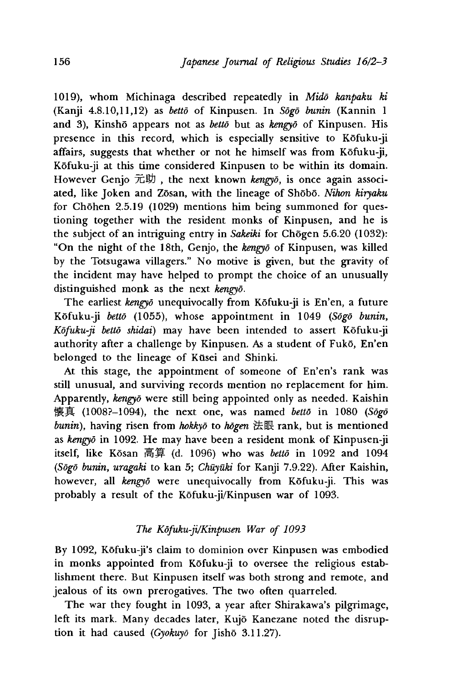1019),whom Michinaga described repeatedly in *Mido kanpaku ki* (Kanji 4.8.10,11,12) as *betto* of Kinpusen. In *Sogo bunin* (Kannin 1 and 3), Kinsho appears not as *betto* but as *kengyo* of Kinpusen. His presence in this record, which is especially sensitive to Kofuku-ji affairs, suggests that whether or not he himself was from Kōfuku-ji, Kofuku-ji at this time considered Kinpusen to be within its domain. However Genjo 元助, the next known *kengyō*, is once again associated, like Joken and Zosan, with the lineage of Shobo. *Nihon kiryaku* for Chōhen 2.5.19 (1029) mentions him being summoned for questioning together with the resident monks of Kinpusen, and he is the subject of an intriguing entry in *Sakeiki* for Chogen 5.6.20 (1032): "On the night of the 18th, Genjo, the *kengyd* of Kinpusen, was killed by the Totsugawa villagers." No motive is given, but the gravity of the incident may have helped to prompt the choice of an unusually distinguished monk as the next *kengyd.*

The earliest *kengyo* unequivocally from Kofuku-ji is En'en, a future Kofuku-ji *betto* (1055), whose appointment in 1049 *(Sogo bunin, Kofuku-ji betto shidai)* may have been intended to assert Kofuku-ji authority after a challenge by Kinpusen. As a student of Fukō, En'en belonged to the lineage of Kusei and Shinki.

At this stage, the appointment of someone of En'en's rank was still unusual, and surviving records mention no replacement for him. Apparently, *kengyd* were still being appointed only as needed. Kaishin 懐 貪 (1008?—1094),the next one, was named *betto* in 1080 *(Sogo bunin*), having risen from *hokkyō* to *hōgen* 法眼 rank, but is mentioned as *kmgyo* in 1092. He may have been a resident monk of Kinpusen-ji itself, like Kōsan 高算 (d. 1096) who was *bettō* in 1092 and 1094 *(Sogo bunin, uragaki* to kan 5; *Chuyuki* for Kanji 7.9.22). After Kaishin, however, all *kengyō* were unequivocally from Kōfuku-ji. This was probably a result of the Kofuku-ji/Kinpusen war of 1093.

## *The Kofuku-ji/Kinpusen War of 1093*

By 1092, Kōfuku-ji's claim to dominion over Kinpusen was embodied in monks appointed from Kōfuku-ji to oversee the religious establishment there. But Kinpusen itself was both strong and remote, and jealous of its own prerogatives. The two often quarreled.

The war they fought in 1093, a year after Shirakawa's pilgrimage, left its mark. Many decades later, Kujō Kanezane noted the disruption it had caused *(Gyokuyd* for Jisho 3.11.27).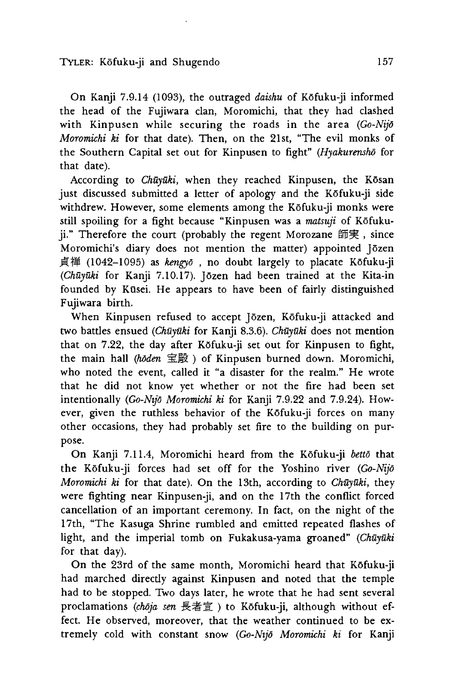On Kanji 7.9.14 (1093), the outraged *daishu* of Kōfuku-ji informed the head of the Fujiwara clan, Moromichi, that they had clashed with Kinpusen while securing the roads in the area *(Go-Nijd Moromichi ki* for that date). Then, on the 21st,"The evil monks of the Southern Capital set out for Kinpusen to fight" *(Hyakurensho* for that date).

According to *Chūyūki*, when they reached Kinpusen, the Kōsan just discussed submitted a letter of apology and the Kofuku-ji side withdrew. However, some elements among the Kōfuku-ji monks were still spoiling for a fight because "Kinpusen was a *matsuji* of Kofukuji." Therefore the court (probably the regent Morozane 師実, since Moromichi's diary does not mention the matter) appointed Jōzen 貞禅 (1042-1095) as *kengyō*, no doubt largely to placate Kōfuku-ji *(Chuyuki* for Kanji 7.10.17). Jozen had been trained at the Kita-in founded by Kusei. He appears to have been of fairly distinguished Fujiwara birth.

When Kinpusen refused to accept Jōzen, Kōfuku-ji attacked and two battles ensued *(Chuyuki* for Kanji 8.3.6). *Chuyuki* does not mention that on 7.22, the day after Kōfuku-ji set out for Kinpusen to fight, the main hall (hoden 宝殿) of Kinpusen burned down. Moromichi, who noted the event, called it "a disaster for the realm." He wrote that he did not know yet whether or not the fire had been set intentionally *(Go-Nijd Moromichi ki* for Kanji 7.9.22 and 7.9.24). However, given the ruthless behavior of the Kofuku-ji forces on many other occasions, they had probably set fire to the building on purpose.

On Kanji 7.11.4, Moromichi heard from the Kofuku-ji *betto* that the Kofuku-ji forces had set off for the Yoshino river *(Go-Nijd Moromichi ki* for that date). On the 13th, according to *Chūyūki*, they were fighting near Kinpusen-ji, and on the 17th the conflict forced cancellation of an important ceremony. In fact, on the night of the 17th, "The Kasuga Shrine rumbled and emitted repeated flashes of light, and the imperial tomb on Fukakusa-yama groaned" (Chūyūki for that day).

On the 23rd of the same month, Moromichi heard that Kōfuku-ji had marched directly against Kinpusen and noted that the temple had to be stopped. Two days later, he wrote that he had sent several proclamations (choja sen 長者宣) to Kofuku-ji, although without effect. He observed, moreover, that the weather continued to be extremely cold with constant snow *(Go-Nijd Moromichi ki* for Kanji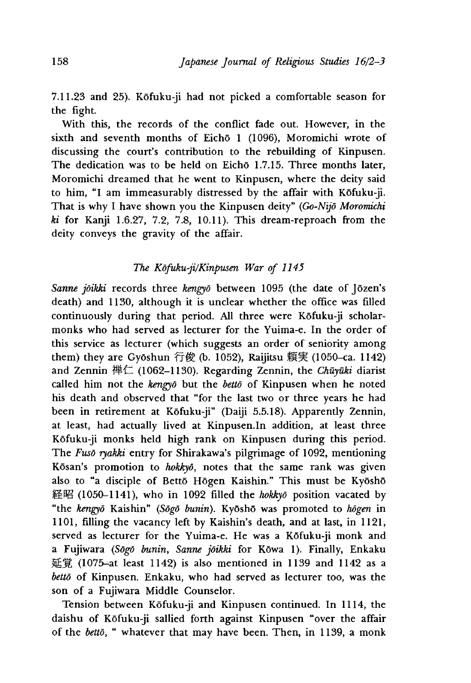7.11.23 and 25). Kofuku-ji had not picked a comfortable season for the fight.

With this, the records of the conflict fade out. However, in the sixth and seventh months of Eichō 1 (1096), Moromichi wrote of discussing the court's contribution to the rebuilding of Kinpusen. The dedication was to be held on Eichō 1.7.15. Three months later, Moromichi dreamed that he went to Kinpusen, where the deity said to him, "I am immeasurably distressed by the affair with Kofuku-ji. That is why I have shown you the Kinpusen deity" *(Go-Nijd Moromichi ki* for Kanji 1.6.27, 7.2, 7.8, 10.11). This dream-reproach from the deity conveys the gravity of the affair.

# *The Kofuku-ji/Kinpusen War of 1145*

*Sanne joikki* records three *kengyd* between 1095 (the date of Jozen's death) and 1130, although it is unclear whether the office was filled continuously during that period. All three were Kofuku-ji scholarmonks who had served as lecturer for the Yuima-e. In the order of this service as lecturer (which suggests an order of seniority among them) they are Gyōshun 行俊 (b. 1052), Raijitsu 頼実 (1050-ca. 1142) and Zennin 禅仁 (1062–1130). Regarding Zennin, the *Chūyūki* diarist called him not the *kmgyo* but the *betto* of Kinpusen when he noted his death and observed that "for the last two or three years he had been in retirement at K6fuku-ji" (Daiji 5.5.18). Apparently Zennin, at least, had actually lived at Kinpusen.In addition, at least three Kofuku-ji monks held high rank on Kinpusen during this period. The *Fusō ryakki* entry for Shirakawa's pilgrimage of 1092, mentioning Kosan\*s promotion to *hokkyd,* notes that the same rank was given also to "a disciple of Bettō Hōgen Kaishin." This must be Kyōshō 経 昭 (1050~1141〉,who in 1092 filled the *hokkyd* position vacated by "the *kengyd* Kaishin" *(Sogo bunin).* Kyosho was promoted to *hogen* in 1101, filling the vacancy left by Kaishin's death, and at last, in 1121, served as lecturer for the Yuima-e. He was a Kofuku-ji monk and a Fujiwara *(Sōgō bunin, Sanne jōikki* for Kōwa 1). Finally, Enkaku 延 覚 (1075-at least 1142) is also mentioned in 1139 and 1142 as a *betto* of Kinpusen. Enkaku, who had served as lecturer too, was the son of a Fujiwara Middle Counselor.

Tension between Kōfuku-ji and Kinpusen continued. In 1114, the daishu of Kofuku-ji sallied forth against Kinpusen "over the affair of the *betto*, " whatever that may have been. Then, in 1139, a monk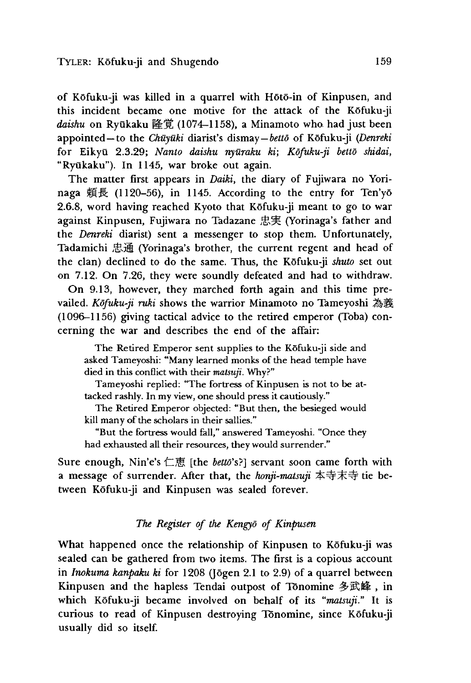of Kofuku-ji was killed in a quarrel with Hoto-in of Kinpusen, and this incident became one motive for the attack of the Kofuku-ji daishu on Ryūkaku 隆覚 (1074-1158), a Minamoto who had just been appointed —to the *Chuyuki* diarist's dismay— of Kofuku-ji *(Denreki* for Eikyu 2.3.29; *Nanto daishu nyuraku ki; Kofuku-ji betto shidai* "Ryūkaku"). In 1145, war broke out again.

The matter first appears in *Daiki,* the diary of Fujiwara no Yorinaga 頼長 (1120-56), in 1145. According to the entry for Ten'yō 2.6.8, word having reached Kyoto that Kofuku-ji meant to go to war against Kinpusen, Fujiwara no Tadazane 忠実 (Yorinaga's father and the *Denreki* diarist) sent a messenger to stop them. Unfortunately, Tadamichi 通 (Yorinaga's brother, the current regent and head of the clan) declined to do the same. Thus, the Kofuku-ji *shuto* set out on 7.12. On 7.26, they were soundly defeated and had to withdraw.

On 9.13, however, they marched forth again and this time prevailed. *Kdfuku-ji ruki* shows the warrior Minamoto no Tameyoshi*為義* (1096-1156) giving tactical advice to the retired emperor (Toba) concerning the war and describes the end of the affair:

The Retired Emperor sent supplies to the Kofuku-ji side and asked Tameyoshi: "Many learned monks of the head temple have died in this conflict with their *matsuji*. Why?"

Tameyoshi replied: "The fortress of Kinpusen is not to be attacked rashly. In my view, one should press it cautiously."

The Retired Emperor objected: "But then, the besieged would kill many of the scholars in their sallies."

"But the fortress would fall," answered Tameyoshi. "Once they had exhausted all their resources, they would surrender."

Sure enough, Nin'e's 仁恵 [the *betto*'s?] servant soon came forth with a message of surrender. After that, the *honji-matsuji* 本寺末寺 tie between Kofuku-ji and Kinpusen was sealed forever.

### *The Register of the Kengyd of Kinpusen*

What happened once the relationship of Kinpusen to Kofuku-ji was sealed can be gathered from two items. The first is a copious account in *Inokuma kanpaku ki* for 1208 (Jogen 2.1 to 2.9) of a quarrel between Kinpusen and the hapless Tendai outpost of Tonomine 多武峰, in which Kofuku-ji became involved on behalf of its *"matsuji."* It is curious to read of Kinpusen destroying Tonomine, since Kofuku-ji usually did so itself.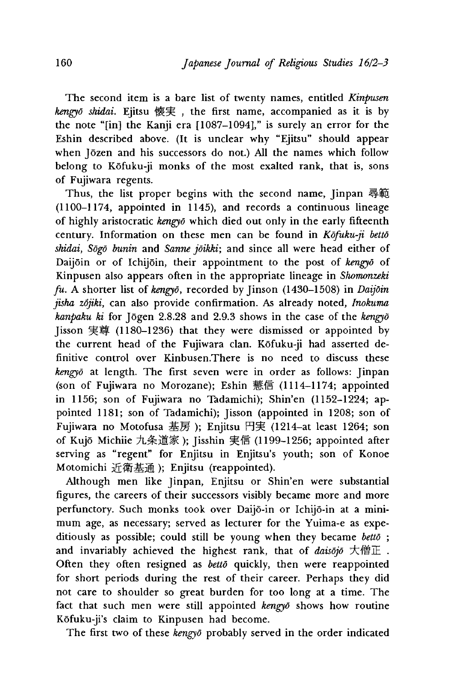The second item is a bare list of twenty names, entitled *Kinpusen* kengyō shidai. Ejitsu 懐実, the first name, accompanied as it is by the note "[in] the Kanji era [1087—1094]," is surely an error for the Eshin described above. (It is unclear why "Ejitsu" should appear when Jōzen and his successors do not.) All the names which follow belong to Kofuku-ji monks of the most exalted rank, that is, sons of Fujiwara regents.

Thus, the list proper begins with the second name, Jinpan 尋範 (1100-1174, appointed in 1145), and records a continuous lineage of highly aristocratic *kengyd* which died out only in the early fifteenth century. Information on these men can be found in *Kofuku-jt betto* shidai, Sogo bunin and Sanne joikki; and since all were head either of Daijoin or of Ichijoin, their appointment to the post of *kengyd* of Kinpusen also appears often in the appropriate lineage in *Shomonzeki fu.* A shorter list of *kmgyo,* recorded by Jinson (1430-1508) in *Daijoin jisha zojiki,* can also provide confirmation. As already noted, *Inokuma kanpaku ki* for Jogen 2.8.28 and 2.9.3 shows in the case of the *kengyo* [isson 実尊 (1180-1236) that they were dismissed or appointed by the current head of the Fujiwara clan. Kofuku-ji had asserted definitive control over Kinbusen. There is no need to discuss these *kengyō* at length. The first seven were in order as follows: Jinpan (son of Fujiwara no Morozane); Eshin 慧信 (1114-1174; appointed in 1156; son of Fujiwara no Tadamichi); Shin'en (1152-1224; appointed 1181; son of Tadamichi); Jisson (appointed in 1208; son of Fujiwara no Motofusa 基房); Enjitsu 円実 (1214-at least 1264; son of Kujō Michiie 九条道家); Jisshin 実信 (1199-1256; appointed after serving as "regent" for Enjitsu in Enjitsu's youth; son of Konoe Motomichi 近衛基通); Enjitsu (reappointed).

Although men like Jinpan, Enjitsu or Shin'en were substantial figures, the careers of their successors visibly became more and more perfunctory. Such monks took over Daijo-in or Ichijo-in at a minimum age, as necessary; served as lecturer for the Yuima-e as expeditiously as possible; could still be young when they became *betto* ; and invariably achieved the highest rank, that of *daisojo* 大僧正. Often they often resigned as *betto* quickly, then were reappointed for short periods during the rest of their career. Perhaps they did not care to shoulder so great burden for too long at a time. The fact that such men were still appointed *kengyo* shows how routine K6fuku-ji's claim to Kinpusen had become.

The first two of these *kengyd* probably served in the order indicated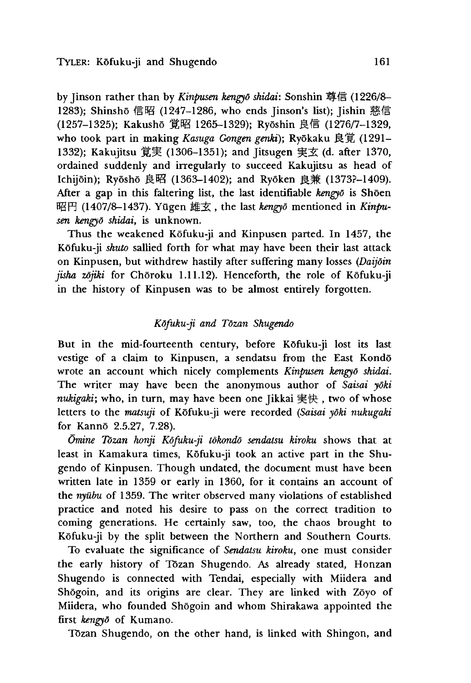by Jinson rather than by *Kinpusen kengyō shidai*: Sonshin 尊信 (1226/8– 1283); Shinshō 信昭 (1247-1286, who ends Jinson's list); Jishin 慈信 (1257-1325); Kakusho 1265-1329); Ryoshin 信 (1276/7-1329, who took part in making *Kasuga Gongen genki*); Ryōkaku 良覚 (1291– 1332); Kakujitsu 覚実 (1306-1351); and Jitsugen 実玄 (d. after 1370, ordained suddenly and irregularly to succeed Kakujitsu as head of Ichijōin); Ryōshō 良昭 (1363-1402); and Ryōken 良兼 (1373?-1409). After a gap in this faltering list, the last identifiable *kengyo* is Shoen 昭円 (1407/8-1437). Yūgen 雄玄, the last *kengyō* mentioned in *Kinpusen kengyd shidai,* is unknown.

Thus the weakened Kōfuku-ji and Kinpusen parted. In 1457, the Kofuku-ji *shuto* sallied forth for what may have been their last attack on Kinpusen, but withdrew hastily after suffering many losses *(Daijoin* jisha zōjiki for Chōroku 1.11.12). Henceforth, the role of Kōfuku-ji in the history of Kinpusen was to be almost entirely forgotten.

# *Kdfuku-ji and Tozan Shugendo*

But in the mid-fourteenth century, before Kofuku-ji lost its last vestige of a claim to Kinpusen, a sendatsu from the East Kondo wrote an account which nicely complements *Kinpusen kengyd shidai.* The writer may have been the anonymous author of *Saisai yoki nukigaki*; who, in turn, may have been one *Jikkai 実快*, two of whose letters to the *matsuji* of Kofuku-ji were recorded *(Saisai yoki nukugaki* for Kanno 2.5.27, 7.28).

*Omine Tozan honji Kofuku-ji tokondo sendatsu kiroku* shows that at least in Kamakura times, Kōfuku-ji took an active part in the Shugendo of Kinpusen. Though undated, the document must have been written late in 1359 or early in 1360, for it contains an account of the *nyubu* of 1359. The writer observed many violations of established practice and noted his desire to pass on the correct tradition to coming generations. He certainly saw, too, the chaos brought to Kofuku-ji by the split between the Northern and Southern Courts.

To evaluate the significance of *Sendatsu kiroku* one must consider the early history of Tozan Shugendo. As already stated, Honzan Shugendo is connected with Tendai, especially with Miidera and Shogoin, and its origins are clear. They are linked with Zoyo of Miidera, who founded Shogoin and whom Shirakawa appointed the first *kengyd* of Kumano.

Tozan Shugendo, on the other hand, is linked with Shingon, and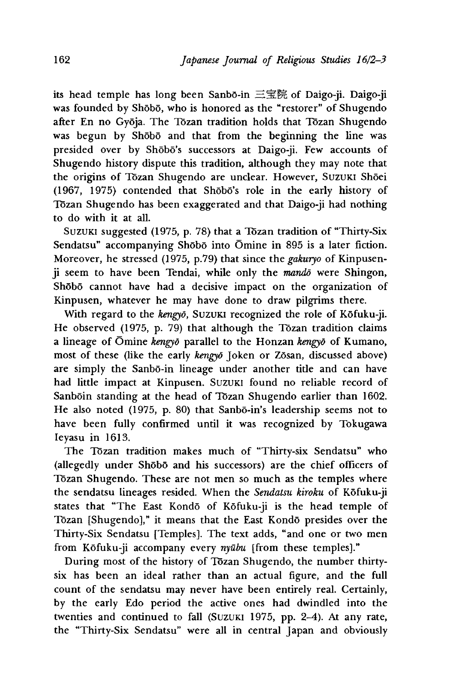its head temple has long been Sanbō-in 三宝院 of Daigo-ji. Daigo-ji was founded by Shōbō, who is honored as the "restorer" of Shugendo after En no Gyoja. The Tozan tradition holds that Tozan Shugendo was begun by Shobo and that from the beginning the line was presided over by Shōbō's successors at Daigo-ji. Few accounts of Shugendo history dispute this tradition, although they may note that the origins of Tōzan Shugendo are unclear. However, SUZUKI Shōei (1967, 1975) contended that Shobo's role in the early history of Tozan Shugendo has been exaggerated and that Daigo-ji had nothing to do with it at all.

Suzuki suggested (1975 p. 78) that a Tozan tradition of "Thirty-Six Sendatsu" accompanying Shōbō into Ōmine in 895 is a later fiction. Moreover, he stressed (1975, p.79) that since the *gakuryo* of Kinpusenji seem to have been Tendai, while only the *mando* were Shingon, Shobo cannot have had a decisive impact on the organization of Kinpusen, whatever he may have done to draw pilgrims there.

With regard to the *kengyō*, SUZUKI recognized the role of Kōfuku-ji. He observed (1975, p. 79) that although the Tozan tradition claims a lineage of Omine *kengyd* parallel to the Honzan *kengyd* of Kumano, most of these (like the early *kengyō* Joken or Zōsan, discussed above) are simply the Sanbō-in lineage under another title and can have had little impact at Kinpusen. Suzuki found no reliable record of Sanboin standing at the head of Tozan Shugendo earlier than 1602. He also noted (1975, p. 80) that Sanbō-in's leadership seems not to have been fully confirmed until it was recognized by Tokugawa Ieyasu in 1613.

The Tōzan tradition makes much of "Thirty-six Sendatsu" who (allegedly under Shobo and his successors) are the chief officers of Tozan Shugendo. These are not men so much as the temples where the sendatsu lineages resided. When the *Sendatsu kiroku* of Kofuku-ji states that "The East Kondō of Kōfuku-ji is the head temple of Tōzan [Shugendo]," it means that the East Kondō presides over the Thirty-Six Sendatsu [Temples]. The text adds,"and one or two men from Kofuku-ji accompany every *nyubu* [from these temples]."

During most of the history of Tozan Shugendo, the number thirtysix has been an ideal rather than an actual figure, and the full count of the sendatsu may never have been entirely real. Certainly, by the early Edo period the active ones had dwindled into the twenties and continued to fall (SUZUKI 1975, pp. 2-4). At any rate, the "Thirty-Six Sendatsu" were all in central Japan and obviously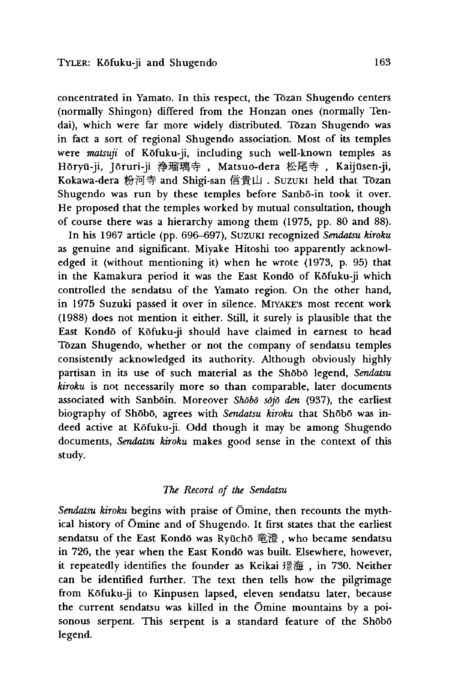concentrated in Yamato. In this respect, the Tozan Shugendo centers (normally Shingon) differed from the Honzan ones (normally Tendai), which were far more widely distributed. Tozan Shugendo was in fact a sort of regional Shugendo association. Most of its temples were *matsuji* of Kofuku-ji, including such well-known temples as Hōryū-ji, Jōruri-ji 浄瑠璃寺, Matsuo-dera 松尾寺, Kaijūsen-ji, Kokawa-dera 粉河寺 and Shigi-san 信貴山. Suzuki held that Tōzan Shugendo was run by these temples before Sanbō-in took it over. He proposed that the temples worked by mutual consultation, though of course there was a hierarchy among them (1975, pp. 80 and 88).

In his 1967 article (pp. 696-697), Suzuki recognized *Sendatsu kiroku* as genuine and significant. Miyake Hitoshi too apparently acknowledged it (without mentioning it) when he wrote (1973, p. 95) that in the Kamakura period it was the East Kondō of Kōfuku-ji which controlled the sendatsu of the Yamato region. On the other hand, in 1975 Suzuki passed it over in silence. Miyake's most recent work (1988) does not mention it either. Still, it surely is plausible that the East Kondo of Kofuku-ji should have claimed in earnest to head Tozan Shugendo, whether or not the company of sendatsu temples consistently acknowledged its authority. Although obviously highly partisan in its use of such material as the Shobo legend, *Sendatsu kiroku* is not necessarily more so than comparable, later documents associated with Sanboin. Moreover *Shobo sojo den* (937), the earliest biography of Shobo, agrees with *Sendatsu kiroku* that Shobo was indeed active at Kofuku-ji. Odd though it may be among Shugendo documents, *Sendatsu kiroku* makes good sense in the context of this study.

#### *The Record of the Sendatsu*

*Sendatsu kiroku* begins with praise of Omine, then recounts the mythical history of Omine and of Shugendo. It first states that the earliest sendatsu of the East Kondō was Ryūchō 竜澄, who became sendatsu in 726, the year when the East Kondō was built. Elsewhere, however, it repeatedly identifies the founder as Keikai 璟海, in 730. Neither can be identified further. The text then tells how the pilgrimage from Kofuku-ji to Kinpusen lapsed, eleven sendatsu later, because the current sendatsu was killed in the Omine mountains by a poisonous serpent. This serpent is a standard feature of the Shobo legend.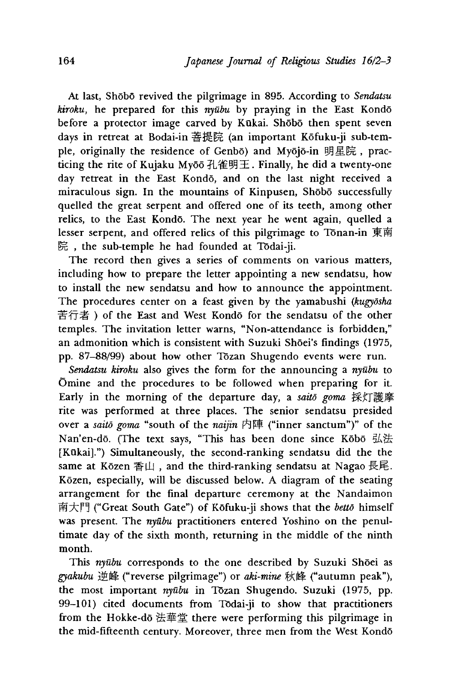At last, Shobo revived the pilgrimage in 895. According to *Sendatsu kiroku,* he prepared for this *nyubu* by praying in the East Kondo before a protector image carved by Kūkai. Shōbō then spent seven days in retreat at Bodai-in 菩提院 (an important Kōfuku-ji sub-temple, originally the residence of Genbo) and Myōjō-in 明星院, practicing the rite of Kujaku Myōō 孔雀明王. Finally, he did a twenty-one day retreat in the East Kondo, and on the last night received a miraculous sign. In the mountains of Kinpusen, Shobo successfully quelled the great serpent and offered one of its teeth, among other relics, to the East Kondo. The next year he went again, quelled a lesser serpent, and offered relics of this pilgrimage to Tonan-in 東南 院, the sub-temple he had founded at Tōdai-ji.

The record then gives a series of comments on various matters, including how to prepare the letter appointing a new sendatsu, how to install the new sendatsu and how to announce the appointment. The procedures center on a feast given by the yamabushi *(kugydsha* 苦行者) of the East and West Kondo for the sendatsu of the other temples. The invitation letter warns, "Non-attendance is forbidden,'' an admonition which is consistent with Suzuki Sh6ei's findings (1975, pp. 87-88/99) about how other Tozan Shugendo events were run.

*Sendatsu Kiroku* also gives the form for the announcing a *nyubu* to Omine and the procedures to be followed when preparing for it. Early in the morning of the departure day, a *saito goma* 採灯護摩 rite was performed at three places. The senior sendatsu presided over a *saito goma* "south of the *natjtn* 内 陣 ("inner sanctum")" of the Nan'en-dō. (The text says, "This has been done since Kōbō 弘法 [Kūkai].") Simultaneously, the second-ranking sendatsu did the the same at Kōzen 香山, and the third-ranking sendatsu at Nagao 長尾. Kozen, especially, will be discussed below. A diagram of the seating arrangement for the final departure ceremony at the Nandaimon 南大門 ("Great South Gate") of Kōfuku-ji shows that the *bettō* himself was present. The *nyūbu* practitioners entered Yoshino on the penultimate day of the sixth month, returning in the middle of the ninth month.

This nyūbu corresponds to the one described by Suzuki Shoei as *gyakubu* ("reverse pilgrimage")or *aki-mine* ("autumn peak"), the most important *nyubu* in Tozan Shugendo. Suzuki (1975, pp. 99-101) cited documents from Todai-ji to show that practitioners from the Hokke-dō 法華堂 there were performing this pilgrimage in the mid-fifteenth century. Moreover, three men from the West Kondo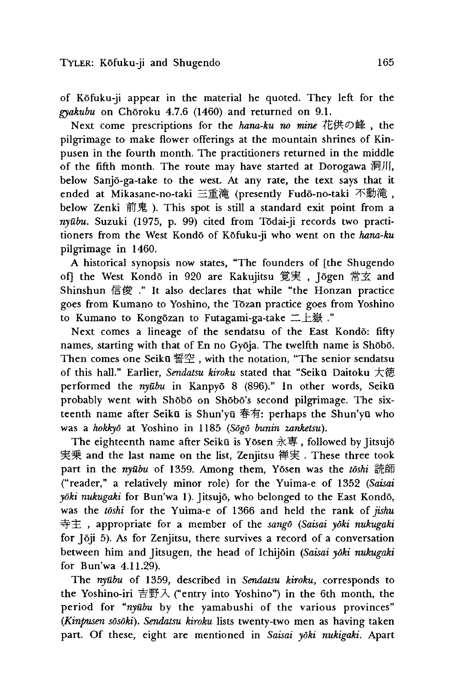of Kofuku-ji appear in the material he quoted. They left for the *gyakubu* on Choroku 4.7.6 (1460) and returned on 9.1.

Next come prescriptions for the *hana-ku no mine* 花供の峰, the pilgrimage to make flower offerings at the mountain shrines of Kinpusen in the fourth month. The practitioners returned in the middle of the fifth month. The route may have started at Dorogawa 洞川 below Sanjo-ga-take to the west. At any rate, the text says that it ended at Mikasane-no-taki 三重滝 (presently Fudō-no-taki 不動滝, below Zenki 前鬼). This spot is still a standard exit point from a *nyubu.* Suzuki (1975 p. 99) cited from Todai-ji records two practitioners from the West Kondo of Kofuku-ji who went on the *hana-ku* pilgrimage in 1460.

A historical synopsis now states, "The founders of [the Shugendo of] the West Kondō in 920 are Kakujitsu 覚実, Jōgen 常玄 and Shinshun 信俊 ." It also declares that while "the Honzan practice goes from Kumano to Yoshino, the Tōzan practice goes from Yoshino to Kumano to Kongōzan to Futagami-ga-take 二上嶽."

Next comes a lineage of the sendatsu of the East Kondō: fifty names, starting with that of En no Gyōja. The twelfth name is Shōbō. Then comes one Seikū  $\mathbb{F}^{\mathbb{C}}$  , with the notation, "The senior sendatsu of this hall." Earlier, *Sendatsu kiroku* stated that "Seikū Daitoku 大徳 performed the *nyūbu* in Kanpyō 8 (896)." In other words, Seikū probably went with Shobo on Shobo's second pilgrimage. The sixteenth name after Seikū is Shun'yū 春有: perhaps the Shun'yū who was a *hokkyd* at Yoshino in 1185 *(Sogo bunin zanketsu).*

The eighteenth name after Seikū is Yōsen 永専, followed by Jitsujō 実乗 and the last name on the list, Zenjitsu 禅実 . These three took part in the *nyubu* of 1359. Among them, Yosen was the *toshi* ("reader," a relatively minor role) for the Yuima-e of 1352 *(Saisai*  $y$ ōki nukugaki for Bun'wa 1). Jitsujō, who belonged to the East Kondō, was the *toshi* for the Yuima-e of 1366 and held the rank of *jishu* 寺主, appropriate for a member of the *sango* (Saisai yoki nukugaki for Joji 5). As for Zenjitsu, there survives a record of a conversation between him and Jitsugen, the head of Ichijoin *(Saisai yoki nukugaki* for Bun'wa 4.11.29).

The *nyūbu* of 1359, described in *Sendatsu kiroku*, corresponds to the Yoshino-iri 吉野入 ("entry into Yoshino") in the 6th month, the period for "nyūbu by the yamabushi of the various provinces" *(Kinpusen sosoki). Sendatsu kiroku* lists twenty-two men as having taken part. Of these, eight are mentioned in *Saisai yoki nukigaki.* Apart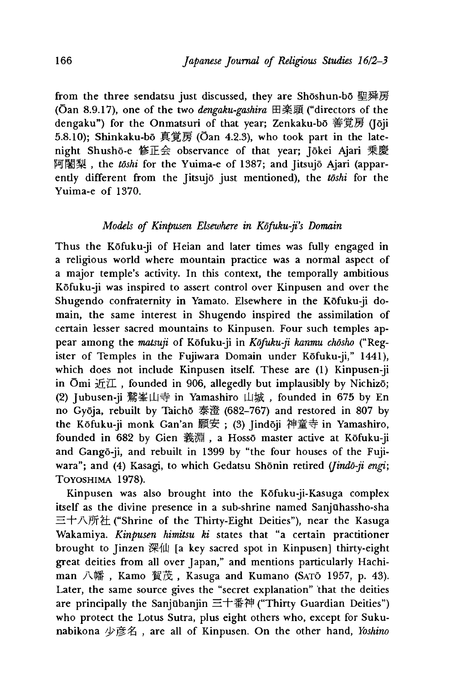from the three sendatsu just discussed, they are Shōshun-bō 聖舜房 (Gan 8.9.17), one of the two *dengaku-gashira* 田楽頭 ("directors of the dengaku") for the Onmatsuri of that year; Zenkaku-bō 善覚房 (Jōji 5.8.10); Shinkaku-bo 覚房(Oan 4.2.3), who took part in the latenight Shusho-e 修正会 observance of that year; Jokei Ajari 乗慶 阿闍梨, the *tōshi* for the Yuima-e of 1387; and Jitsujō Ajari (apparently different from the Jitsujo just mentioned), the *toshi* for the Yuima-e of 1370.

## *Models of Kinpusen Elsewhere in Kdfuku-ji's Domain*

Thus the Kofuku-ji of Heian and later times was fully engaged in a religious world where mountain practice was a normal aspect of a major temple's activity. In this context, the temporally ambitious Kofuku-ji was inspired to assert control over Kinpusen and over the Shugendo confraternity in Yamato. Elsewhere in the Kofuku-ji domain, the same interest in Shugendo inspired the assimilation of certain lesser sacred mountains to Kinpusen. Four such temples appear among the *matsuji* of Kōfuku-ji in Kōfuku-ji kanmu chōsho ("Register of Temples in the Fujiwara Domain under Kōfuku-ji," 1441), which does not include Kinpusen itself. These are (1) Kinpusen-ji in Ōmi  $\overline{\text{H}}\mathbb{I}$ , founded in 906, allegedly but implausibly by Nichizo; (2) Jubusen-ji 鷲峯山寺 in Yamashiro 山城, founded in 675 by En no Gyōja, rebuilt by Taichō 泰澄 (682-767) and restored in 807 by the Kōfuku-ji monk Gan'an 願安; (3) Jindōji 神童寺 in Yamashiro, founded in 682 by Gien 義淵, a Hossō master active at Kōfuku-ji and Gangō-ji, and rebuilt in 1399 by "the four houses of the Fujiwara"; and (4) Kasagi, to which Gedatsu Shōnin retired (*Jindō-ji engi*; Toyoshima 1978).

Kinpusen was also brought into the Kofuku-ji-Kasuga complex itself as the divine presence in a sub-shrine named Sanjuhassho-sha 三十八所社 ("Shrine of the Thirty-Eight Deities"), near the Kasuga Wakamiya. *Kinpusen himitsu ki* states that "a certain practitioner brought to Jinzen 深仙 [a key sacred spot in Kinpusen] thirty-eight great deities from all over Japan," and mentions particularly Hachiman 八幡, Kamo 賀茂, Kasuga and Kumano (SATO 1957, p. 43). Later, the same source gives the "secret explanation" that the deities are principally the Sanjūbanjin 三十番神 ("Thirty Guardian Deities") who protect the Lotus Sutra, plus eight others who, except for Sukunabikona 少彦名, are all of Kinpusen. On the other hand, *Yoshino*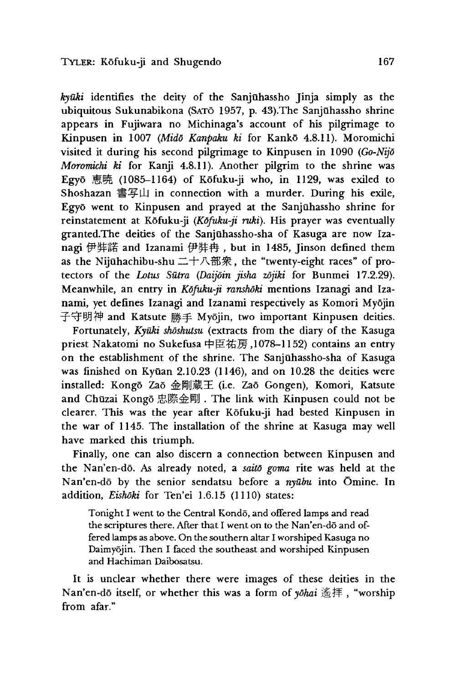*kyuki* identifies the deity of the Sanjuhassho Jinja simply as the ubiquitous Sukunabikona (SATO 1957, p. 43). The Sanjūhassho shrine appears in Fujiwara no Michinaga's account of his pilgrimage to Kinpusen in 1007 *(Mido Kanpaku ki* for Kanko 4.8.11). Moromichi visited it during his second pilgrimage to Kinpusen in 1090 *(Go-Nijd Moromichi ki* for Kanji 4.8.11). Another pilgrim to the shrine was Egyō 恵暁 (1085-1164) of Kōfuku-ji who, in 1129, was exiled to Shoshazan 書写山 in connection with a murder. During his exile, Egyo went to Kinpusen and prayed at the Sanjuhassho shrine for reinstatement at Kofuku-ji *{Kdfuku-ji ruki).* His prayer was eventually granted.The deities of the Sanjuhassho-sha of Kasuga are now Izanagi 伊弉諾 and Izanami 伊弉冉, but in 1485, Jinson defined them as the Nijūhachibu-shu 二十八部衆, the "twenty-eight races" of protectors of the *Lotus Sutra (Daijoin jisha zdjiki* for Bunmei 17.2.29). Meanwhile, an entry in *Kdfuku-ji ranshoki* mentions Izanagi and Izanami, yet defines Izanagi and Izanami respectively as Komori Myōjin 守明神 and Katsute 勝手 Myojin, two important Kinpusen deities.

Fortunately, *Kyūki shōshutsu* (extracts from the diary of the Kasuga priest Nakatomi no Sukefusa 中臣祐房, 1078–1152) contains an entry on the establishment of the shrine. The Sanjuhassho-sha of Kasuga was finished on Kyūan 2.10.23 (1146), and on 10.28 the deities were installed: Kongō Zaō 金剛蔵王 (i.e. Zaō Gongen), Komori, Katsute and Chūzai Kongō 忠際金剛. The link with Kinpusen could not be clearer. This was the year after Kofuku-ji had bested Kinpusen in the war of 1145. The installation of the shrine at Kasuga may well have marked this triumph.

Finally, one can also discern a connection between Kinpusen and the Nan'en-do. As already noted, a *saitd goma* rite was held at the Nan'en-do by the senior sendatsu before a *nyubu* into Omine. In addition, *Eishoki* for Ten'ei 1.6.15 (1110) states:

Tonight I went to the Central Kondō, and offered lamps and read the scriptures there. After that I went on to the Nan'en-d5 and offered lamps as above. On the southern altar I worshiped Kasuga no Daimyojin. Then I faced the southeast and worshiped Kinpusen and Hachiman Daibosatsu.

It is unclear whether there were images of these deities in the Nan'en-dō itself, or whether this was a form of *yōhai* 遙拝, "worship from afar."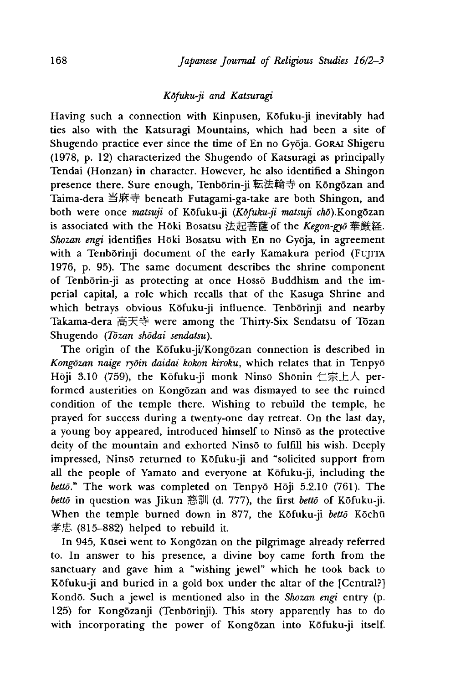# *Kdfuku-ji and Katsuragi*

Having such a connection with Kinpusen, Kofuku-ji inevitably had ties also with the Katsuragi Mountains, which had been a site of Shugendo practice ever since the time of En no Gyōja. Gorai Shigeru (1978, p. 12) characterized the Shugendo of Katsuragi as principally Tendai (Honzan) in character. However, he also identified a Shingon presence there. Sure enough, Tenborin-ji 転法輪寺 on Kongozan and Taima-dera 当麻寺 beneath Futagami-ga-take are both Shingon, and both were once *matsuji* of Kōfuku-ji (Kōfuku-ji matsuji chō).Kongōzan is associated with the Hōki Bosatsu 法起菩薩 of the Kegon-gyō 華厳経. *Shozan engi* identifies Hoki Bosatsu with En no Gyoja, in agreement with a Tenborinji document of the early Kamakura period (FUJITA 1976, p. 95). The same document describes the shrine component of Tenbōrin-ji as protecting at once Hossō Buddhism and the imperial capital, a role which recalls that of the Kasuga Shrine and which betrays obvious Kōfuku-ji influence. Tenbōrinji and nearby Takama-dera 高天寺 were among the Thirty-Six Sendatsu of Tozan Shugendo *(Tozan shodai sendatsu).*

The origin of the Kōfuku-ji/Kongōzan connection is described in *Kongdzan naige rydin daidai kokon kiroku,* which relates that in Tenpyo Hōji 3.10 (759), the Kōfuku-ji monk Ninsō Shōnin 仁宗上人 performed austerities on Kongozan and was dismayed to see the ruined condition of the temple there. Wishing to rebuild the temple, he prayed for success during a twenty-one day retreat. On the last day, a young boy appeared, introduced himself to Ninso as the protective deity of the mountain and exhorted Ninso to fulfill his wish. Deeply impressed, Ninso returned to Kofuku-ji and "solicited support from all the people of Yamato and everyone at Kōfuku-ji, including the *bettō.*" The work was completed on Tenpyō Hōji 5.2.10 (761). The *bettō* in question was Jikun 慈訓 (d. 777), the first *bettō* of Kōfuku-ji. When the temple burned down in 877, the Kōfuku-ji *bettō* Kōchū  $\#E$  (815-882) helped to rebuild it.

In 945, Kūsei went to Kongōzan on the pilgrimage already referred to. In answer to his presence, a divine boy came forth from the sanctuary and gave him a "wishing jewel" which he took back to Kōfuku-ji and buried in a gold box under the altar of the [Central?] Kondō. Such a jewel is mentioned also in the *Shozan engi* entry (p. 125) for Kongozanji (Tenborinji). This story apparently has to do with incorporating the power of Kongōzan into Kōfuku-ji itself.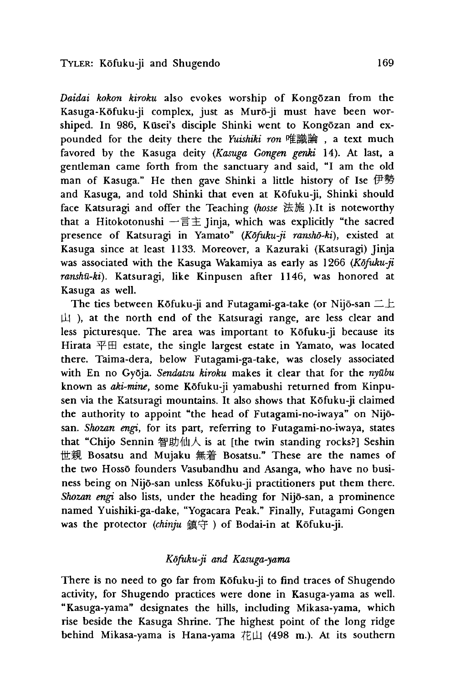*Daidai kokon kiroku* also evokes worship of Kongozan from the Kasuga-Kofuku-ji complex, just as Muro-ji must have been worshiped. In 986, Kūsei's disciple Shinki went to Kongōzan and expounded for the deity there the *Yuishiki ron* 唯識論, a text much favored by the Kasuga deity *(Kasuga Gongen genki* 14). At last, a gentleman came forth from the sanctuary and said, "I am the old man of Kasuga." He then gave Shinki a little history of Ise 伊勢 and Kasuga, and told Shinki that even at Kōfuku-ji, Shinki should face Katsuragi and offer the Teaching (hosse 法施).It is noteworthy that a Hitokotonushi 一言主 Jinja, which was explicitly "the sacred presence of Katsuragi in Yamato" (Kōfuku-ji ranshō-ki), existed at Kasuga since at least 1133. Moreover, a Kazuraki (Katsuragi) Jinja was associated with the Kasuga Wakamiya as early as 1266 *(Kōfuku-ji*) *ranshu-ki).* Katsuragi, like Kinpusen after 1146, was honored at Kasuga as well.

The ties between Kōfuku-ji and Futagami-ga-take (or Nijō-san  $\pm\pm$  $\uparrow$ ), at the north end of the Katsuragi range, are less clear and less picturesque. The area was important to Kofuku-ji because its Hirata  $\overline{H} \boxplus$  estate, the single largest estate in Yamato, was located there. Taima-dera, below Futagami-ga-take, was closely associated with En no Gyoja. *Sendatsu kiroku* makes it clear that for the *nyubu* known as *aki-mine,* some Kofuku-ji yamabushi returned from Kinpusen via the Katsuragi mountains. It also shows that Kofuku-ji claimed the authority to appoint "the head of Futagami-no-iwaya" on Nijōsan. *Shozan engi*, for its part, referring to Futagami-no-iwaya, states that "Chijo Sennin 智助仙人 is at [the twin standing rocks?] Seshin 世親 Bosatsu and Mujaku 無着 Bosatsu." These are the names of the two Hossō founders Vasubandhu and Asanga, who have no business being on Nijo-san unless Kofuku-ji practitioners put them there. *Shozan engi* also lists, under the heading for Nijo-san, a prominence named Yuishiki-ga-dake, "Yogacara Peak." Finally, Futagami Gongen was the protector (chinju 鎮守) of Bodai-in at Kōfuku-ji.

## *Kdfuku-ji and Kasuga-yama*

There is no need to go far from Kōfuku-ji to find traces of Shugendo activity, for Shugendo practices were done in Kasuga-yama as well. "Kasuga-yama" designates the hills, including Mikasa-yama, which rise beside the Kasuga Shrine. The highest point of the long ridge behind Mikasa-yama is Hana-yama  $\vec{\textbf{t}}$  (498 m.). At its southern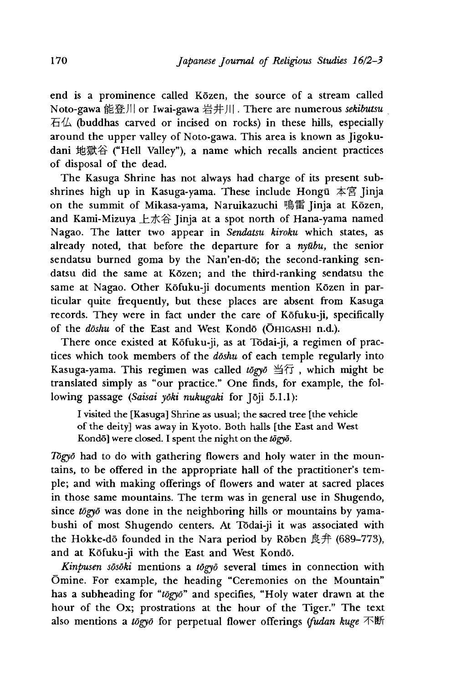end is a prominence called Közen, the source of a stream called Noto-gawa 能登川 or Iwai-gawa 岩井川. There are numerous *sekibutsu*  $\overline{A}$  (buddhas carved or incised on rocks) in these hills, especially around the upper valley of Noto-gawa. This area is known as Jigokudani 地獄谷 ("Hell Valley"), a name which recalls ancient practices of disposal of the dead.

The Kasuga Shrine has not always had charge of its present subshrines high up in Kasuga-yama. These include Hongu 本宮 Jinja on the summit of Mikasa-yama, Naruikazuchi 鳴雷 Jinja at Kōzen, and Kami-Mizuya  $\pm \pi \hat{B}$  Jinja at a spot north of Hana-yama named Nagao. The latter two appear in *Sendatsu kiroku* which states, as already noted, that before the departure for a *nyubu,* the senior sendatsu burned goma by the Nan'en-dō; the second-ranking sendatsu did the same at Kozen; and the third-ranking sendatsu the same at Nagao. Other Kōfuku-ji documents mention Kōzen in particular quite frequently, but these places are absent from Kasuga records. They were in fact under the care of Kofuku-ji, specifically of the *doshu* of the East and West Kondo (OHIGASHI n.d.).

There once existed at Kofuku-ji, as at Todai-ji, a regimen of practices which took members of the *doshu* of each temple regularly into Kasuga-yama. This regimen was called *tōgyō* 当行, which might be translated simply as "our practice." One finds, for example, the following passage *(Saisai yoki nukugaki* for Joji 5.1.1):

I visited the [Kasuga] Shrine as usual; the sacred tree [the vehicle of the deity] was away in Kyoto. Both halls [the East and West Kondō] were closed. I spent the night on the  $t\bar{o}gy\bar{o}$ .

*Togyo* had to do with gathering flowers and holy water in the mountains, to be offered in the appropriate hall of the practitioner's temple; and with making offerings of flowers and water at sacred places in those same mountains. The term was in general use in Shugendo, since *togyo* was done in the neighboring hills or mountains by yamabushi of most Shugendo centers. At Todai-ji it was associated with the Hokke-dō founded in the Nara period by Rōben 良弁 (689-773), and at Kofuku-ji with the East and West Kondo.

*Kinpusen sosoki* mentions a *togyo* several times in connection with Omine. For example, the heading "Ceremonies on the Mountain" has a subheading for "togyo" and specifies, "Holy water drawn at the hour of the Ox; prostrations at the hour of the Tiger." The text also mentions a *togyo* for perpetual flower offerings *(fudan huge*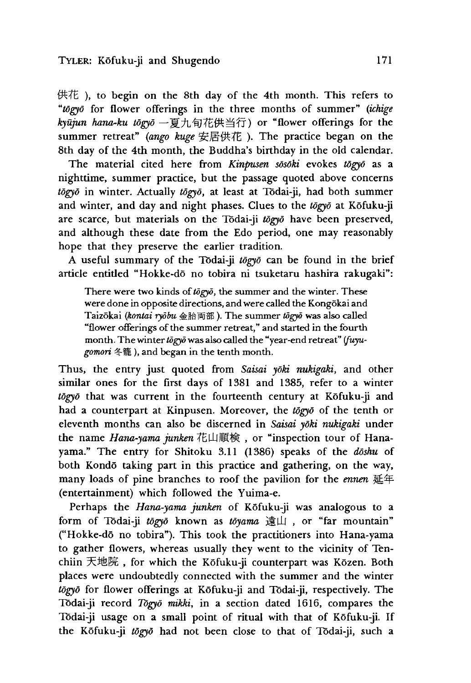供花), to begin on the 8th day of the 4th month. This refers to *utogyo* for flower offerings in the three months of summer" *(ichige* kyūjun hana-ku tōgyō 一夏九旬花供当行) or "flower offerings for the summer retreat" *(ango huge* 安居供花) . The practice began on the 8th day of the 4th month, the Buddha's birthday in the old calendar.

The material cited here from *Kinpusen sosoki* evokes *togyo* as a nighttime, summer practice, but the passage quoted above concerns *togyo* in winter. Actually *togyo,* at least at Todai-ji, had both summer and winter, and day and night phases. Clues to the *togyo* at Kofuku-ji are scarce, but materials on the Todai-ji *togyo* have been preserved, and although these date from the Edo period, one may reasonably hope that they preserve the earlier tradition.

A useful summary of the Todai-ji *togyo* can be found in the brief article entitled "Hokke-dō no tobira ni tsuketaru hashira rakugaki":

There were two kinds of togyo, the summer and the winter. These were done in opposite directions, and were called the Kongokai and 1 aizokai *(kontai ryobu* 金胎両部*)•* The summer *tdgyd* was also called "flower offerings of the summer retreat," and started in the fourth month. The winter *togyo* was also called the "year-end retreat" *ifuyugomori* 冬籠),and began in the tenth month.

Thus, the entry just quoted from *Saisai yōki nukigaki*, and other similar ones for the first days of 1381 and 1385, refer to a winter togyo that was current in the fourteenth century at Kofuku-ji and had a counterpart at Kinpusen. Moreover, the *tdgyd* of the tenth or eleventh months can also be discerned in *Saisai yoki nwagaki* under the name *Hana-yama junken* 花山順検, or "inspection tour of Hanayama." The entry for Shitoku 3.11 (1386) speaks of the *doshu* of both Kondo taking part in this practice and gathering, on the way, many loads of pine branches to roof the pavilion for the *ennen* 延年 (entertainment) which followed the Yuima-e.

Perhaps the *Hana-yama junken* of Kofuku-ji was analogous to a form of Todai-ji togyō known as toyama 遠山, or "far mountain" ("Hokke-dō no tobira"). This took the practitioners into Hana-yama to gather flowers, whereas usually they went to the vicinity of Tenchiin 天地院, for which the Kōfuku-ji counterpart was Kōzen. Both places were undoubtedly connected with the summer and the winter *togyo* for flower offerings at Kofuku-ji and Todai-ji, respectively. The Tōdai-ji record *Tōgyō mikki*, in a section dated 1616, compares the Todai-ji usage on a small point of ritual with that of Kofuku-ji. If the Kofuku-ji *tdgyd* had not been close to that of Todai-ji, such a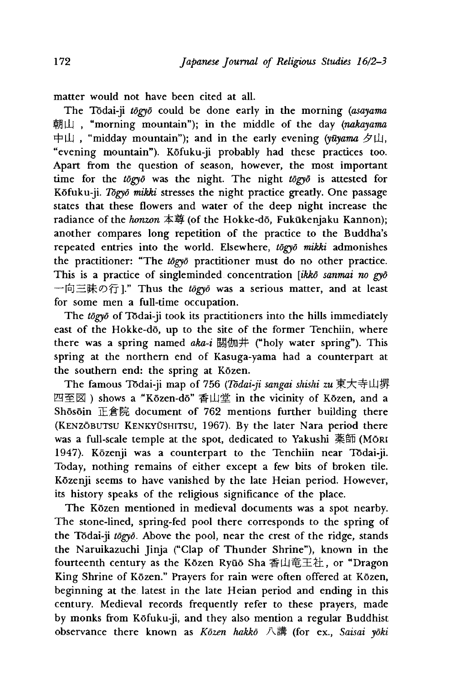matter would not have been cited at all.

The Todai-ji *togyo* could be done early in the morning *(asayama* 朝山, "morning mountain"); in the middle of the day *(nakayama* 中山, "midday mountain"); and in the early evening *(yūyama 夕*山, "evening mountain"). Kofuku-ji probably had these practices too. Apart from the question of season, however, the most important time for the *togyo* was the night. The night *togyo* is attested for Kofuku-ji. *Togyo mikki* stresses the night practice greatly. One passage states that these flowers and water of the deep night increase the radiance of the *honzon* 本尊 (of the Hokke-dō, Fukūkenjaku Kannon); another compares long repetition of the practice to the Buddha's repeated entries into the world. Elsewhere, *tdgyd mikki* admonishes the practitioner: "The *tdgyd* practitioner must do no other practice. This is a practice of singleminded concentration *[ikko sanmai no gyd* 一向三昧の行]." Thus the *togyo* was a serious matter, and at least for some men a full-time occupation.

The *togyo* of Todai-ji took its practitioners into the hills immediately east of the Hokke-dō, up to the site of the former Tenchiin, where there was a spring named *aka-i* 閼伽井 ("holy water spring"). This spring at the northern end of Kasuga-yama had a counterpart at the southern end: the spring at Kōzen.

The famous Tōdai-ji map of 756 (Tōdai-ji sangai shishi zu 東大寺山堺 四至図) shows a "Kōzen-dō" 香山堂 in the vicinity of Kōzen, and a Shōsōin 正倉院 document of 762 mentions further building there (KENZOBUTSU KENKYŪSHITSU, 1967). By the later Nara period there was a full-scale temple at the spot, dedicated to Yakushi 薬師 (MŌRI 1947). Kozenji was a counterpart to the Tenchiin near Todai-ji. Today, nothing remains of either except a few bits of broken tile. Kozenji seems to have vanished by the late Heian period. However, its history speaks of the religious significance of the place.

The Kōzen mentioned in medieval documents was a spot nearby. The stone-lined, spring-fed pool there corresponds to the spring of the Tōdai-ji *tōgyō*. Above the pool, near the crest of the ridge, stands the Naruikazuchi Jinja ("Clap of Thunder Shrine"), known in the fourteenth century as the Kōzen Ryūō Sha 香山竜王社, or "Dragon King Shrine of Kōzen." Prayers for rain were often offered at Kōzen, beginning at the latest in the late Heian period and ending in this century. Medieval records frequently refer to these prayers, made by monks from Kofuku-ji, and they also mention a regular Buddhist observance there known as *Kozen hakko 八 講* (for ex., *Saisai yoki*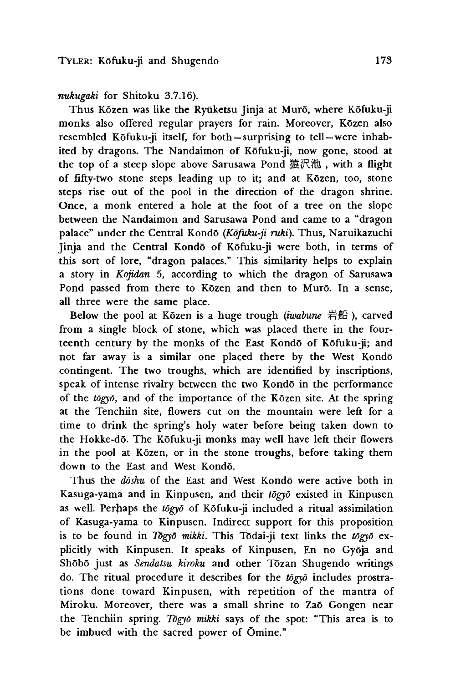*nukugaki* for Shitoku 3.7.16).

Thus Kōzen was like the Ryūketsu Jinja at Murō, where Kōfuku-ji monks also offered regular prayers for rain. Moreover, Kozen also resembled Kōfuku-ji itself, for both-surprising to tell-were inhabited by dragons. The Nandaimon of Kofuku-ji, now gone, stood at the top of a steep slope above Sarusawa Pond 猿沢池, with a flight of fifty-two stone steps leading up to it; and at Kozen, too, stone steps rise out of the pool in the direction of the dragon shrine. Once, a monk entered a hole at the foot of a tree on the slope between the Nandaimon and Sarusawa Pond and came to a "dragon palace" under the Central Kondo *(Kdfuku-ji ruki).* Thus, Naruikazuchi Jinja and the Central Kondō of Kōfuku-ji were both, in terms of this sort of lore, "dragon palaces." This similarity helps to explain a story in *Kojidan* 5, according to which the dragon of Sarusawa Pond passed from there to Közen and then to Murō. In a sense, all three were the same place.

Below the pool at Kōzen is a huge trough *(iwabune 岩船)*, carved from a single block of stone, which was placed there in the fourteenth century by the monks of the East Kondo of Kofuku-ji; and not far away is a similar one placed there by the West Kondo contingent. The two troughs, which are identified by inscriptions, speak of intense rivalry between the two Kondō in the performance of the *tdgyo,* and of the importance of the Kozen site. At the spring at the Tenchiin site, flowers cut on the mountain were left for a time to drink the spring's holy water before being taken down to the Hokke-do. The Kofuku-ji monks may well have left their flowers in the pool at Közen, or in the stone troughs, before taking them down to the East and West Kondo.

Thus the *doshu* of the East and West Kondo were active both in Kasuga-yama and in Kinpusen, and their *togyo* existed in Kinpusen as well. Perhaps the togyo of Kofuku-ji included a ritual assimilation of Kasuga-yama to Kinpusen. Indirect support for this proposition is to be found in *Togyo mikki.* This Todai-ji text links the *tdgyd* explicitly with Kinpusen. It speaks of Kinpusen, En no Gyoja and Shobo just as *Sendatsu kiroku* and other Tozan Shugendo writings do. The ritual procedure it describes for the *tdgyd* includes prostrations done toward Kinpusen, with repetition of the mantra of Miroku. Moreover, there was a small shrine to Zaō Gongen near the Tenchiin spring. *Togyo mikki* says of the spot: "This area is to be imbued with the sacred power of Omine."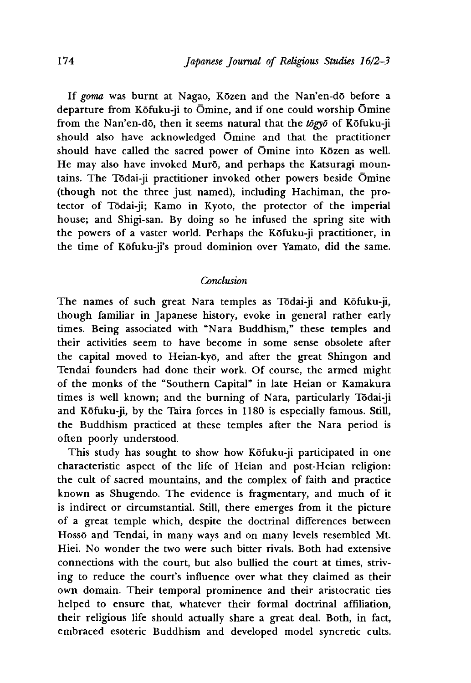If *goma* was burnt at Nagao, Kozen and the Nan'en-do before a departure from Kōfuku-ji to Ōmine, and if one could worship Ōmine from the Nan'en-dō, then it seems natural that the *togyo* of Kōfuku-ji should also have acknowledged Omine and that the practitioner should have called the sacred power of Omine into Kozen as well. He may also have invoked Murō, and perhaps the Katsuragi mountains. The Todai-ji practitioner invoked other powers beside Omine (though not the three just named), including Hachiman, the protector of Todai-ji; Kamo in Kyoto, the protector of the imperial house; and Shigi-san. By doing so he infused the spring site with the powers of a vaster world. Perhaps the Kofuku-ji practitioner, in the time of Kofuku-ji's proud dominion over Yamato, did the same.

## *Conclusion*

The names of such great Nara temples as Todai-ji and Kofuku-ji, though familiar in Japanese history, evoke in general rather early times. Being associated with "Nara Buddhism," these temples and their activities seem to have become in some sense obsolete after the capital moved to Heian-kyo, and after the great Shingon and Tendai founders had done their work. Of course, the armed might of the monks of the "Southern Capital" in late Heian or Kamakura times is well known; and the burning of Nara, particularly Todai-ji and Kofuku-ji, by the Taira forces in 1180 is especially famous. Still, the Buddhism practiced at these temples after the Nara period is often poorly understood.

This study has sought to show how Kōfuku-ji participated in one characteristic aspect of the life of Heian and post-Heian religion: the cult of sacred mountains, and the complex of faith and practice known as Shugendo. The evidence is fragmentary, and much of it is indirect or circumstantial. Still, there emerges from it the picture of a great temple which, despite the doctrinal differences between Hossō and Tendai, in many ways and on many levels resembled Mt. Hiei. No wonder the two were such bitter rivals. Both had extensive connections with the court, but also bullied the court at times, striving to reduce the court's influence over what they claimed as their own domain. Their temporal prominence and their aristocratic ties helped to ensure that, whatever their formal doctrinal affiliation, their religious life should actually share a great deal. Both, in fact, embraced esoteric Buddhism and developed model syncretic cults.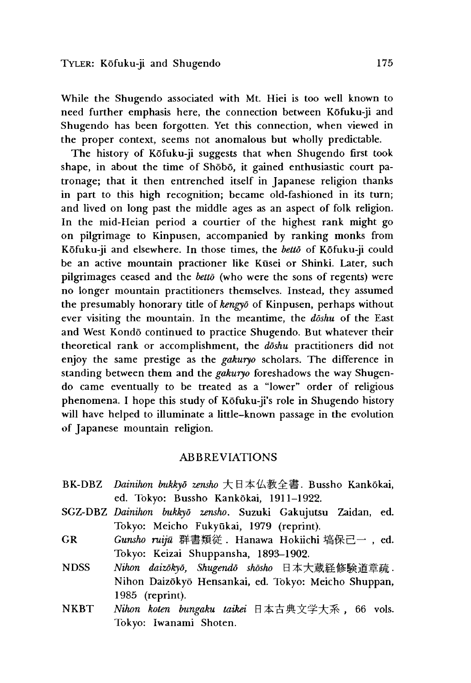While the Shugendo associated with Mt. Hiei is too well known to need further emphasis here, the connection between Kofuku-ji and Shugendo has been forgotten. Yet this connection, when viewed in the proper context, seems not anomalous but wholly predictable.

The history of Kōfuku-ji suggests that when Shugendo first took shape, in about the time of Shobo, it gained enthusiastic court patronage; that it then entrenched itself in Japanese religion thanks in part to this high recognition; became old-fashioned in its turn; and lived on long past the middle ages as an aspect of folk religion. In the mid-Heian period a courtier of the highest rank might go on pilgrimage to Kinpusen, accompanied by ranking monks from Kofuku-ji and elsewhere. In those times, the *betto* of Kofuku-ji could be an active mountain practioner like Kūsei or Shinki. Later, such pilgrimages ceased and the *betto* (who were the sons of regents) were no longer mountain practitioners themselves. Instead, they assumed the presumably honorary title of *kengyd* of Kinpusen, perhaps without ever visiting the mountain. In the meantime, the *doshu* of the East and West Kondō continued to practice Shugendo. But whatever their theoretical rank or accomplishment, the *doshu* practitioners did not enjoy the same prestige as the *gakuryo* scholars. The difference in standing between them and the *gakuryo* foreshadows the way Shugendo came eventually to be treated as a "lower" order of religious phenomena. I hope this study of Kōfuku-ji's role in Shugendo history will have helped to illuminate a little-known passage in the evolution of Japanese mountain religion.

### ABBREVIATIONS

- BK-DBZ *Dainihon bukkyd zensho* 大日本仏教全書. Bussho Kankokai, ed. Tokyo: Bussho Kankōkai, 1911-1922.
- SGZ-DBZ *Dainihon bukkyd zensho.* Suzuki Gakujutsu Zaidan, ed. Tokyo: Meicho Fukyūkai, 1979 (reprint).
- GR Gunsho ruijū 群書類従. Hanawa Hokiichi 塙保己一, ed. Tokyo: Keizai Shuppansha, 1893-1902.
- NDSS Nihon daizōkyō, Shugendō shōsho 日本大蔵経修験道章疏. Nihon Daizokyo Hensankai, ed. Tokyo: Meicho Shuppan, 1985 (reprint).
- NKBT Nihon koten bungaku taikei 日本古典文学大系, 66 vols. Tokyo: Iwanami 5hoten.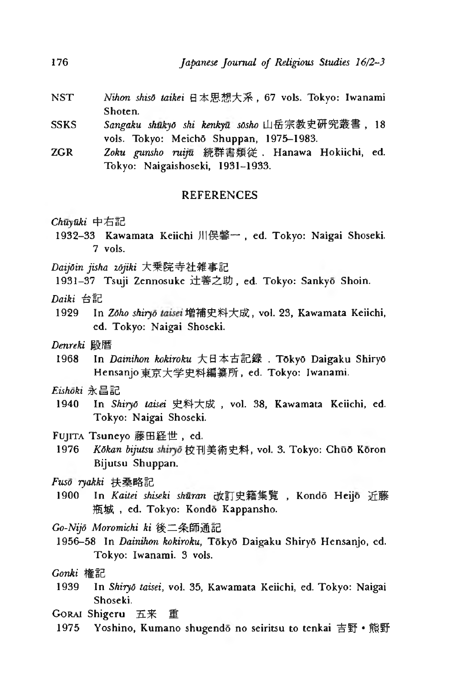- NST Nihon shisō taikei 日本思想大系, 67 vols. Tokyo: Iwanami Shoten.
- SSKS *Sangaku shukyd ski kenkyu sOsho* 山岳 史研究叢書,18 vols. Tokyo: Meichō Shuppan, 1975-1983.
- ZGR *Zoku gunsho ruiju* 続群書類従. Hanawa Hokiichi, ed. Tokyo: Naigaishoseki, 1931-1933.

### REFERENCES

Chuγūki 中右記

- 1932-33 Kawamata Keiichi 川俣馨一, ed. Tokyo: Naigai Shoseki. 7 vols.
- *Daijdin jisha zdjiki*大乗院寺社雑事記

1931-37 Tsuji Zennosuke 辻善之助, ed. Tokyo: Sankyō Shoin.

*Daiki* 台記

1929 In *Zōho shiryō taisei* 増補史料大成, vol. 23, Kawamata Keiichi, ed. Tokyo: Naigai Shoseki.

*Denreki* 殿暦

1968 In *Dainihon kokiroku* 大日本古記録,TOkyO Daigaku ShiryO Hensanjo 東京大学史料編纂所, ed. Tokyo: Iwanami.

*Eishoki*永昌記

1940 In Shiryō taisei 史料大成, vol. 38, Kawamata Keiichi, ed. Tokyo: Naigai Shoseki.

Fujita Tsuneyo 藤田経世, ed.

1976 *Kōkan bijutsu shiryō* 校刊美術史料, vol. 3. Tokyo: Chūō Kōron Bijutsu Shuppan.

*Fuso ryakki* 桑略記

1900 In Kaitei shiseki shūran 改訂史籍集覧, Kondō Heijō 近藤 瓶城, ed. Tokyo: Kondō Kappansho.

*Go-Nijd Moromichi ki* 条師通

1956-58 In *Dainihon kokiroku,* Toky5 Daigaku Shiry6 Hensanjo, ed. Tokyo: Iwanami. 3 vols.

*G onki*

1939 In *ShiryO taisei,* vol.35, Kawamata Keiichi, ed. Tokyo: Naigai Shoseki.

GORAI Shigeru 五来 重

1975 Yoshino, Kumano shugendo no seiritsu to tenkai 吉野 • 熊野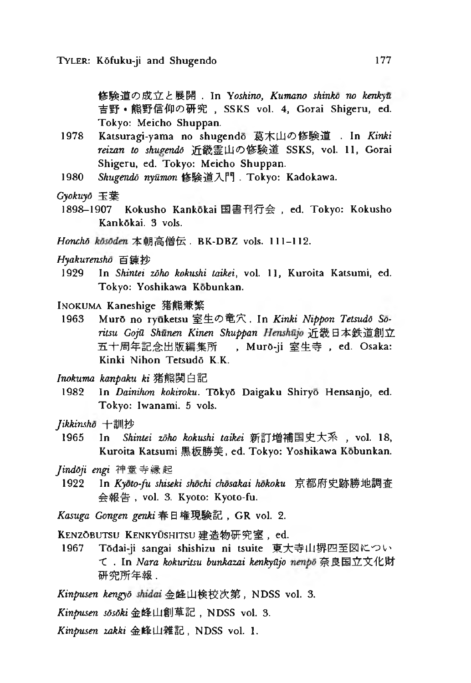の成立と展開. In *Yoshino, Kumano shinko no kenkyu* 吉野 • 熊野信仰の研究, SSKS vol. 4, Gorai Shigeru, ed. Tokyo: Meicho Shuppan.

- 1978 Katsuragi-yama no shugendo 葛木山の修験道 . In Kinki reizan to shugendo 近畿霊山の修験道 SSKS, vol. 11, Gorai Shigeru, cd. Tokyo: Meicho Shuppan.
- 1980 Shugendō nyūmon 修験道入門 . Tokyo: Kadokawa.
- *Gyokuyd* 玉葉
- 1898-1907 Kokusho Kankōkai 国書刊行会, ed. Tokyo: Kokusho Kank6kai. 3 vols.
- Honchō kōsōden 本朝高僧伝 . BK-DBZ vols. 111-112.

#### *Hyakurensho* 百鍊抄

- 1929 In Shintei zoho kokushi taikei, vol. 11, Kuroita Katsumi, ed. Tokyo: Yoshikawa Kobunkan.
- INOKUMA Kaneshige 猪熊兼繁
- 1963 Murō no ryūketsu 室生の竜穴. In *Kinki Nippon Tetsudō Sōritsu GojU Shunen Kinen Shuppan* 近幾日本 創立 五十周年記念出版編集所 , Murō-ji 室生寺, ed. Osaka: Kinki Nihon Tetsudō K.K.
- *Inokuma kanpaku ki*
- 1982 In *Dainihon kokiroku.* T6ky6 Daigaku Shiryo Hensanjo, ed. Tokyo: Iwanami. 5 vols.
- *Jihkinsho*十訓
- 1965 In *Shintei zōho kokushi taikei* 新訂増補国史大系, vol. 18, Kuroita Katsumi 黒板勝美, ed. Tokyo: Yoshikawa Kōbunkan.
- *Jinddji engi* 寺縁起
- 1922 In *Kyoto-fu shiseki shochi chosakai hokoku* 京都府史跡勝地調査 会報告, vol. 3. Kyoto: Kyoto-fu.
- Kasuga Gongen genki 春日権現験記, GR vol. 2.

KENZOBUTSU KENKYUSHITSU 建造物研究室, ed.

1967 T6dai-ji sangai shishizu ni tsuite 東大寺山辨四至図につい • In *Nara kokuritsu bunkazai kenkyUjo* 奈良国立 化財 研究所年報.

Kinpusen kengyō shidai 金峰山検校次第, NDSS vol. 3.

*Kinpusen sosoki* 金峰山創草記, NDSS vol. 3.

*Kinpusen zakki* 金峰山雜記, NDSS vol. 1.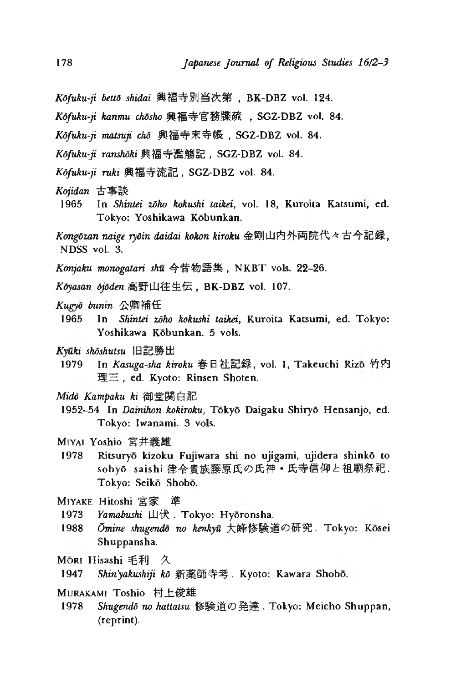- *Kdfuku-ji betto shidai* 興福寺別当次第 BK-DBZ vol. 124.
- Kōfuku-ji kanmu chōsho 興福寺官務牒疏, SGZ-DBZ vol. 84.
- Kōfuku-ji matsuji chō 興福寺末寺帳, SGZ-DBZ vol. 84.
- Kōfuku-ji ranshōki 與福寺濫觴記, SGZ-DBZ vol. 84.
- *Kōfuku-ji ruki* 興福寺流記, SGZ-DBZ vol. 84.
- *K ojidan*古事談
- 1965 In Shintei zoho kokushi taikei, vol. 18, Kuroita Katsumi, ed. Tokyo: Yoshikawa K6bunkan.
- Kongōzan naige ryōin daidai kokon kiroku 金剛山内外両院代々古今記録, NDSS vol. 3.
- Konjaku monogatari shu 今昔物語集, NKBT vols. 22-26.
- Kōyasan ōjōden 高野山往生伝, BK-DBZ vol. 107.
- *Kugyō bunin* 公卿補任
- 1965 In *Shintei zdho kokushi taikei,* Kuroita Katsumi, ed. Tokyo: Yoshikawa Kobunkan. 5 vols.
- *Kyuki shoshutsu* 記勝出
- 1979 In *Kasuga-sha kiroku* 春日社記録, vol. 1, Takeuchi Rizō 竹内 理三, ed. Kyoto: Rinsen Shoten.
- *Mido Kampaku ki* 御堂関白記
- 1952-54 In *Dainihon kokiroku,* Toky6 Daigaku Shiry6 Hensanjo, ed. Tokyo: Iwanami. 3 vols.
- Miyai Yoshio 井義雄
- 1978 Ritsuryo kizoku Fujiwara shi no ujigami, ujidera shink6 to sobyō saishi 律令貴族藤原氏の氏神·氏寺信仰と祖廟祭祀. Tokyo: Seiko Shobo.
- MIYAKE Hitoshi 宮家 準
- 1973 *Yamabushi* 山伏. Tokyo: Hyōronsha.
- 1988 *Ōmine shugendo no kenkyu* 大峰修験道の研究. Tokyo: Kōsei Shuppansha.
- Mōri Hisashi 毛利 久
- 1947 *Shin'yakushiji kō* 新薬師寺考 . Kyoto: Kawara Shobō.
- Murakami Toshio 村上俊雄
- 1978 Shugendō no hattatsu 修験道の発達. Tokyo: Meicho Shuppan, (reprint).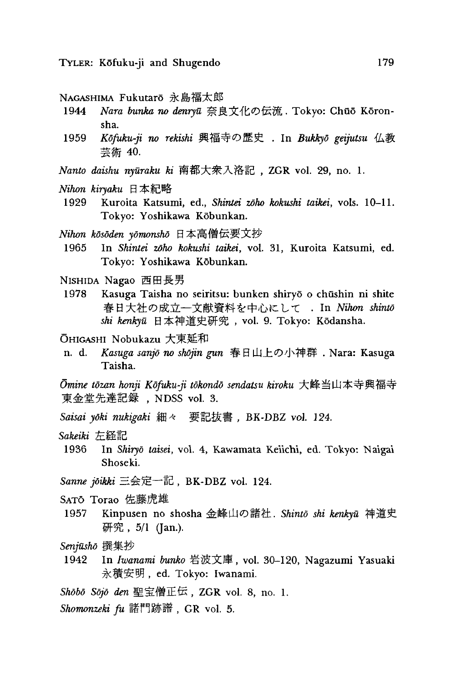NAGASHIMA Fukutarō 永島福太郎

- 1944 *Nara bunka no denryū* 奈良文化の伝流. Tokyo: Chūō Kōronsha.
- 1959 *Kdfuku-ji no rekishi* 興福寺 . In *Bukkyd geijutsu* 仏教 芸術 40.
- *Nanto daishu nyūraku ki* 南都大衆入洛記, ZGR vol. 29, no. 1.
- *Nihon kiryaku*日本紀
- 1929 Kuroita Katsumi, ed., *Shintei zōho kokushi taikei*, vols. 10-11. Tokyo: Yoshikawa Kobunkan.
- *Nihon kosoden yomonsho*日本高僧伝要
- 1965 In Shintei zōho kokushi taikei, vol. 31, Kuroita Katsumi, ed. Tokyo: Yoshikawa Kobunkan.
- NISHIDA Nagao 西田長男
- 1978 Kasuga Taisha no seiritsu: bunken shiryō o chūshin ni shite 春日大社の成立––文献資料を中心にして . In Nihon shinto shi kenkyū 日本神道史研究, vol. 9. Tokyo: Kōdansha.
- ÖHIGASHI Nobukazu 大東延和
- n. d. Kasuga sanjō no shōjin gun 春日山上の小神群. Nara: Kasuga Taisha.

*Omine tozan honji Kofuku-ji tokondo sendatsu kiroku* 大峰当山本寺興福寺 東金堂先達記録 , NDSS vol. 3.

- *Saisai yoki nukigaki* 細々要 BK-DBZ *vol. 124.*
- *Sakeiki*
- 1936 In Shiryō taisei, vol. 4, Kawamata Keiichi, ed. Tokyo: Naigai Shoseki.
- Sanne joikki 三会定一記, BK-DBZ vol. 124.
- SATŌ Torao 佐藤虎雄
- 1957 Kinpusen no shosha 金峰山の諸社. Shintō shi kenkyū 神道史  *- 研究, 5/1 (Jan.).*
- *Senjusho* 集抄
- 1942 In *Iwanami bunko* 岩波文庫, vol. 30-120, Nagazumi Yasuaki 永積安明, ed. Tokyo: Iwanami.
- *Shobo Sojo den* 聖宝僧正伝, ZGR vol. 8, no. 1.
- *Shomonzeki fu* 諸門跡譜, GR vol. 5.